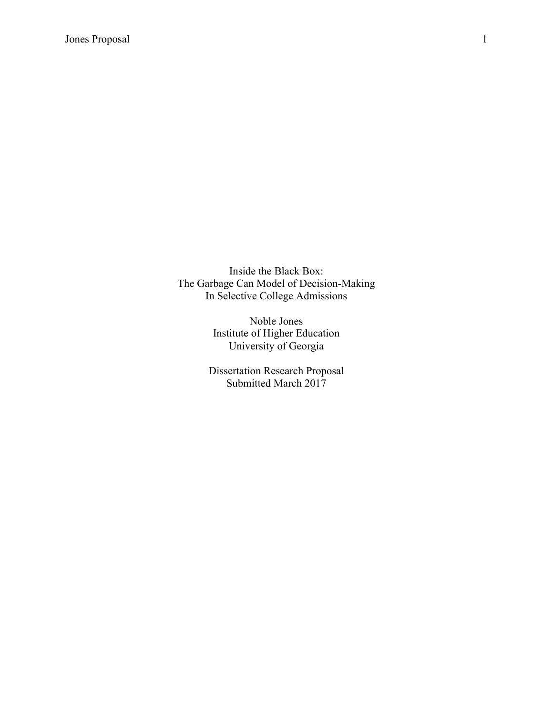Inside the Black Box: The Garbage Can Model of Decision-Making In Selective College Admissions

> Noble Jones Institute of Higher Education University of Georgia

Dissertation Research Proposal Submitted March 2017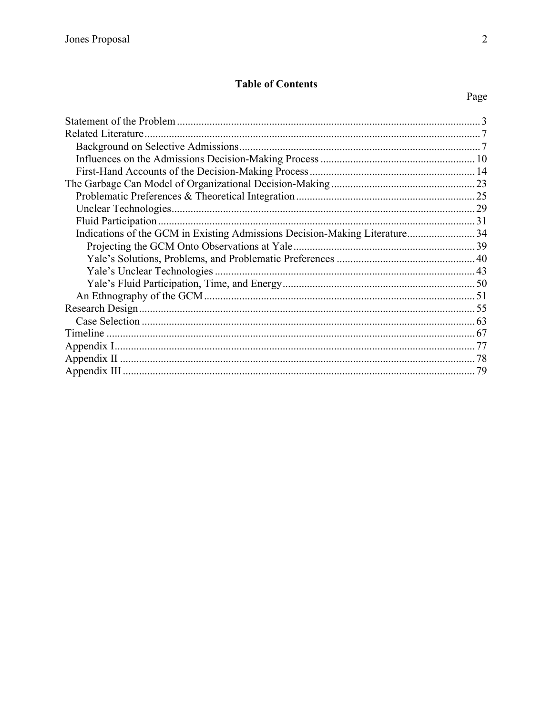## **Table of Contents**

| Related Literature.                                                         |  |
|-----------------------------------------------------------------------------|--|
|                                                                             |  |
|                                                                             |  |
|                                                                             |  |
|                                                                             |  |
|                                                                             |  |
|                                                                             |  |
|                                                                             |  |
|                                                                             |  |
| Indications of the GCM in Existing Admissions Decision-Making Literature 34 |  |
|                                                                             |  |
|                                                                             |  |
|                                                                             |  |
|                                                                             |  |
|                                                                             |  |
|                                                                             |  |
|                                                                             |  |
|                                                                             |  |
|                                                                             |  |
|                                                                             |  |
|                                                                             |  |
|                                                                             |  |

# Page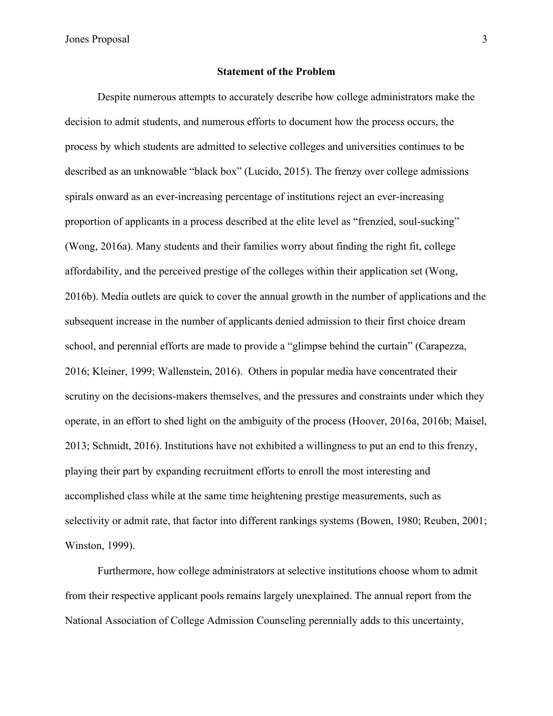#### **Statement of the Problem**

Despite numerous attempts to accurately describe how college administrators make the decision to admit students, and numerous efforts to document how the process occurs, the process by which students are admitted to selective colleges and universities continues to be described as an unknowable "black box" (Lucido, 2015). The frenzy over college admissions spirals onward as an ever-increasing percentage of institutions reject an ever-increasing proportion of applicants in a process described at the elite level as "frenzied, soul-sucking" (Wong, 2016a). Many students and their families worry about finding the right fit, college affordability, and the perceived prestige of the colleges within their application set (Wong, 2016b). Media outlets are quick to cover the annual growth in the number of applications and the subsequent increase in the number of applicants denied admission to their first choice dream school, and perennial efforts are made to provide a "glimpse behind the curtain" (Carapezza, 2016; Kleiner, 1999; Wallenstein, 2016). Others in popular media have concentrated their scrutiny on the decisions-makers themselves, and the pressures and constraints under which they operate, in an effort to shed light on the ambiguity of the process (Hoover, 2016a, 2016b; Maisel, 2013; Schmidt, 2016). Institutions have not exhibited a willingness to put an end to this frenzy, playing their part by expanding recruitment efforts to enroll the most interesting and accomplished class while at the same time heightening prestige measurements, such as selectivity or admit rate, that factor into different rankings systems (Bowen, 1980; Reuben, 2001; Winston, 1999).

Furthermore, how college administrators at selective institutions choose whom to admit from their respective applicant pools remains largely unexplained. The annual report from the National Association of College Admission Counseling perennially adds to this uncertainty,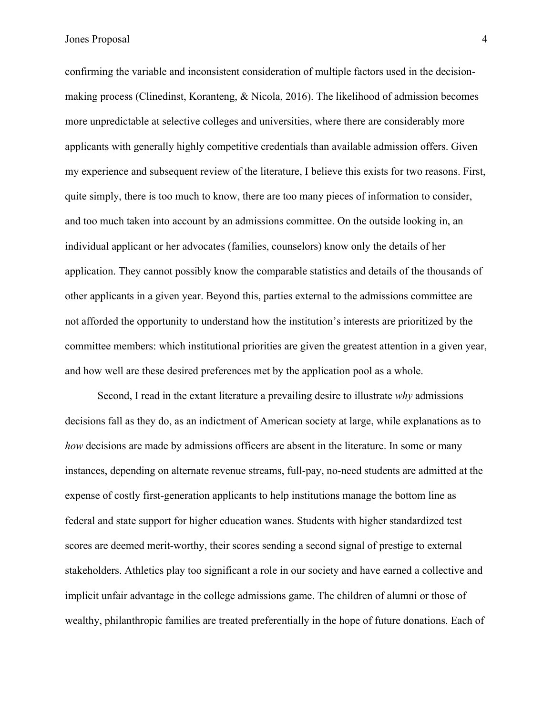confirming the variable and inconsistent consideration of multiple factors used in the decisionmaking process (Clinedinst, Koranteng, & Nicola, 2016). The likelihood of admission becomes more unpredictable at selective colleges and universities, where there are considerably more applicants with generally highly competitive credentials than available admission offers. Given my experience and subsequent review of the literature, I believe this exists for two reasons. First, quite simply, there is too much to know, there are too many pieces of information to consider, and too much taken into account by an admissions committee. On the outside looking in, an individual applicant or her advocates (families, counselors) know only the details of her application. They cannot possibly know the comparable statistics and details of the thousands of other applicants in a given year. Beyond this, parties external to the admissions committee are not afforded the opportunity to understand how the institution's interests are prioritized by the committee members: which institutional priorities are given the greatest attention in a given year, and how well are these desired preferences met by the application pool as a whole.

Second, I read in the extant literature a prevailing desire to illustrate *why* admissions decisions fall as they do, as an indictment of American society at large, while explanations as to *how* decisions are made by admissions officers are absent in the literature. In some or many instances, depending on alternate revenue streams, full-pay, no-need students are admitted at the expense of costly first-generation applicants to help institutions manage the bottom line as federal and state support for higher education wanes. Students with higher standardized test scores are deemed merit-worthy, their scores sending a second signal of prestige to external stakeholders. Athletics play too significant a role in our society and have earned a collective and implicit unfair advantage in the college admissions game. The children of alumni or those of wealthy, philanthropic families are treated preferentially in the hope of future donations. Each of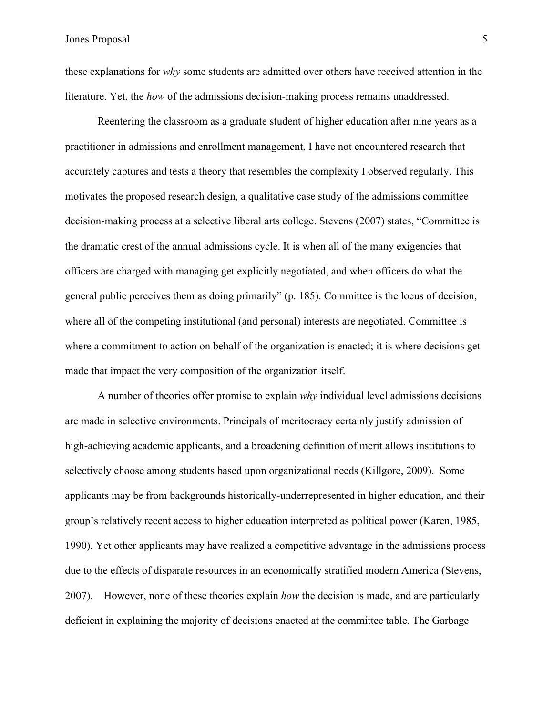these explanations for *why* some students are admitted over others have received attention in the literature. Yet, the *how* of the admissions decision-making process remains unaddressed.

Reentering the classroom as a graduate student of higher education after nine years as a practitioner in admissions and enrollment management, I have not encountered research that accurately captures and tests a theory that resembles the complexity I observed regularly. This motivates the proposed research design, a qualitative case study of the admissions committee decision-making process at a selective liberal arts college. Stevens (2007) states, "Committee is the dramatic crest of the annual admissions cycle. It is when all of the many exigencies that officers are charged with managing get explicitly negotiated, and when officers do what the general public perceives them as doing primarily" (p. 185). Committee is the locus of decision, where all of the competing institutional (and personal) interests are negotiated. Committee is where a commitment to action on behalf of the organization is enacted; it is where decisions get made that impact the very composition of the organization itself.

A number of theories offer promise to explain *why* individual level admissions decisions are made in selective environments. Principals of meritocracy certainly justify admission of high-achieving academic applicants, and a broadening definition of merit allows institutions to selectively choose among students based upon organizational needs (Killgore, 2009). Some applicants may be from backgrounds historically-underrepresented in higher education, and their group's relatively recent access to higher education interpreted as political power (Karen, 1985, 1990). Yet other applicants may have realized a competitive advantage in the admissions process due to the effects of disparate resources in an economically stratified modern America (Stevens, 2007). However, none of these theories explain *how* the decision is made, and are particularly deficient in explaining the majority of decisions enacted at the committee table. The Garbage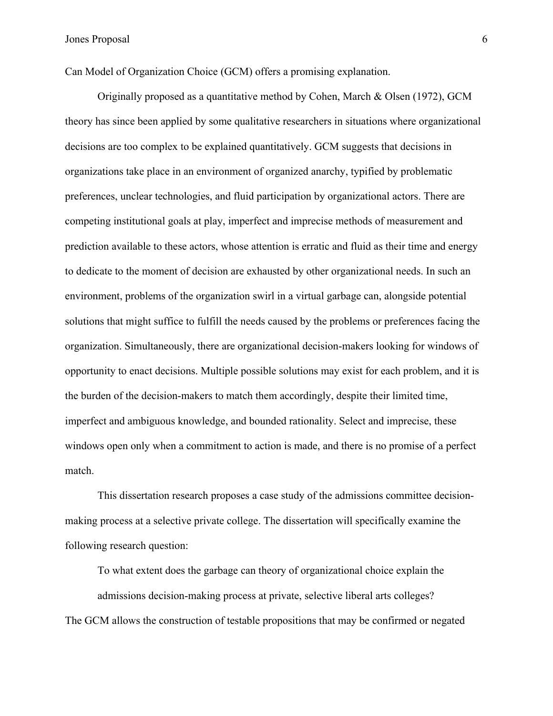Can Model of Organization Choice (GCM) offers a promising explanation.

Originally proposed as a quantitative method by Cohen, March & Olsen (1972), GCM theory has since been applied by some qualitative researchers in situations where organizational decisions are too complex to be explained quantitatively. GCM suggests that decisions in organizations take place in an environment of organized anarchy, typified by problematic preferences, unclear technologies, and fluid participation by organizational actors. There are competing institutional goals at play, imperfect and imprecise methods of measurement and prediction available to these actors, whose attention is erratic and fluid as their time and energy to dedicate to the moment of decision are exhausted by other organizational needs. In such an environment, problems of the organization swirl in a virtual garbage can, alongside potential solutions that might suffice to fulfill the needs caused by the problems or preferences facing the organization. Simultaneously, there are organizational decision-makers looking for windows of opportunity to enact decisions. Multiple possible solutions may exist for each problem, and it is the burden of the decision-makers to match them accordingly, despite their limited time, imperfect and ambiguous knowledge, and bounded rationality. Select and imprecise, these windows open only when a commitment to action is made, and there is no promise of a perfect match.

This dissertation research proposes a case study of the admissions committee decisionmaking process at a selective private college. The dissertation will specifically examine the following research question:

To what extent does the garbage can theory of organizational choice explain the admissions decision-making process at private, selective liberal arts colleges? The GCM allows the construction of testable propositions that may be confirmed or negated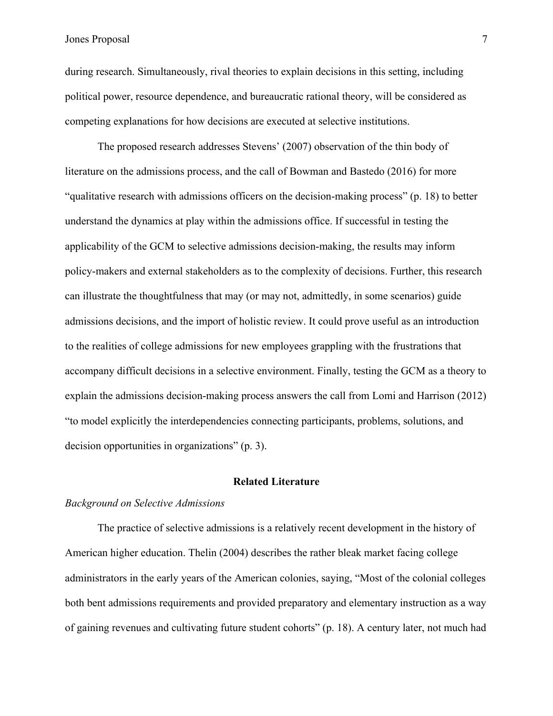during research. Simultaneously, rival theories to explain decisions in this setting, including political power, resource dependence, and bureaucratic rational theory, will be considered as competing explanations for how decisions are executed at selective institutions.

The proposed research addresses Stevens' (2007) observation of the thin body of literature on the admissions process, and the call of Bowman and Bastedo (2016) for more "qualitative research with admissions officers on the decision-making process" (p. 18) to better understand the dynamics at play within the admissions office. If successful in testing the applicability of the GCM to selective admissions decision-making, the results may inform policy-makers and external stakeholders as to the complexity of decisions. Further, this research can illustrate the thoughtfulness that may (or may not, admittedly, in some scenarios) guide admissions decisions, and the import of holistic review. It could prove useful as an introduction to the realities of college admissions for new employees grappling with the frustrations that accompany difficult decisions in a selective environment. Finally, testing the GCM as a theory to explain the admissions decision-making process answers the call from Lomi and Harrison (2012) "to model explicitly the interdependencies connecting participants, problems, solutions, and decision opportunities in organizations" (p. 3).

#### **Related Literature**

## *Background on Selective Admissions*

The practice of selective admissions is a relatively recent development in the history of American higher education. Thelin (2004) describes the rather bleak market facing college administrators in the early years of the American colonies, saying, "Most of the colonial colleges both bent admissions requirements and provided preparatory and elementary instruction as a way of gaining revenues and cultivating future student cohorts" (p. 18). A century later, not much had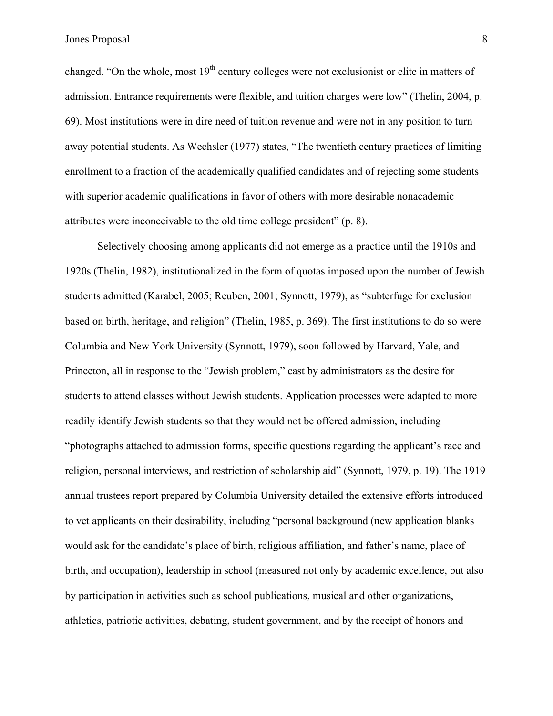changed. "On the whole, most  $19<sup>th</sup>$  century colleges were not exclusionist or elite in matters of admission. Entrance requirements were flexible, and tuition charges were low" (Thelin, 2004, p. 69). Most institutions were in dire need of tuition revenue and were not in any position to turn away potential students. As Wechsler (1977) states, "The twentieth century practices of limiting enrollment to a fraction of the academically qualified candidates and of rejecting some students with superior academic qualifications in favor of others with more desirable nonacademic attributes were inconceivable to the old time college president" (p. 8).

Selectively choosing among applicants did not emerge as a practice until the 1910s and 1920s (Thelin, 1982), institutionalized in the form of quotas imposed upon the number of Jewish students admitted (Karabel, 2005; Reuben, 2001; Synnott, 1979), as "subterfuge for exclusion based on birth, heritage, and religion" (Thelin, 1985, p. 369). The first institutions to do so were Columbia and New York University (Synnott, 1979), soon followed by Harvard, Yale, and Princeton, all in response to the "Jewish problem," cast by administrators as the desire for students to attend classes without Jewish students. Application processes were adapted to more readily identify Jewish students so that they would not be offered admission, including "photographs attached to admission forms, specific questions regarding the applicant's race and religion, personal interviews, and restriction of scholarship aid" (Synnott, 1979, p. 19). The 1919 annual trustees report prepared by Columbia University detailed the extensive efforts introduced to vet applicants on their desirability, including "personal background (new application blanks would ask for the candidate's place of birth, religious affiliation, and father's name, place of birth, and occupation), leadership in school (measured not only by academic excellence, but also by participation in activities such as school publications, musical and other organizations, athletics, patriotic activities, debating, student government, and by the receipt of honors and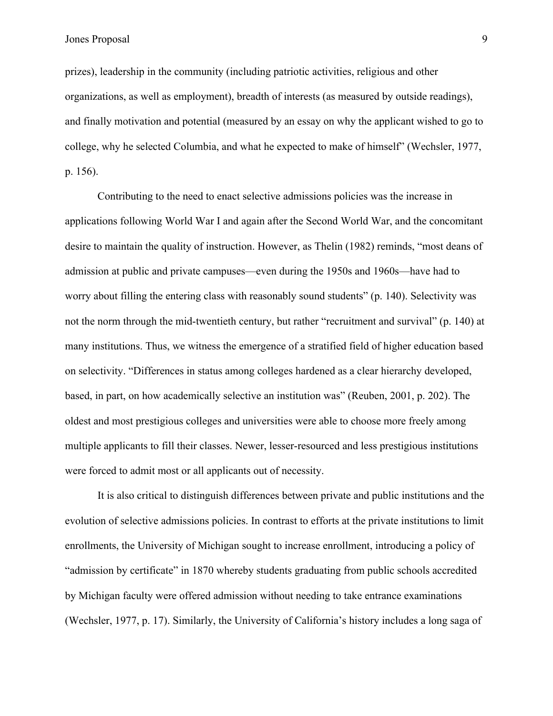prizes), leadership in the community (including patriotic activities, religious and other organizations, as well as employment), breadth of interests (as measured by outside readings), and finally motivation and potential (measured by an essay on why the applicant wished to go to college, why he selected Columbia, and what he expected to make of himself" (Wechsler, 1977, p. 156).

Contributing to the need to enact selective admissions policies was the increase in applications following World War I and again after the Second World War, and the concomitant desire to maintain the quality of instruction. However, as Thelin (1982) reminds, "most deans of admission at public and private campuses—even during the 1950s and 1960s—have had to worry about filling the entering class with reasonably sound students" (p. 140). Selectivity was not the norm through the mid-twentieth century, but rather "recruitment and survival" (p. 140) at many institutions. Thus, we witness the emergence of a stratified field of higher education based on selectivity. "Differences in status among colleges hardened as a clear hierarchy developed, based, in part, on how academically selective an institution was" (Reuben, 2001, p. 202). The oldest and most prestigious colleges and universities were able to choose more freely among multiple applicants to fill their classes. Newer, lesser-resourced and less prestigious institutions were forced to admit most or all applicants out of necessity.

It is also critical to distinguish differences between private and public institutions and the evolution of selective admissions policies. In contrast to efforts at the private institutions to limit enrollments, the University of Michigan sought to increase enrollment, introducing a policy of "admission by certificate" in 1870 whereby students graduating from public schools accredited by Michigan faculty were offered admission without needing to take entrance examinations (Wechsler, 1977, p. 17). Similarly, the University of California's history includes a long saga of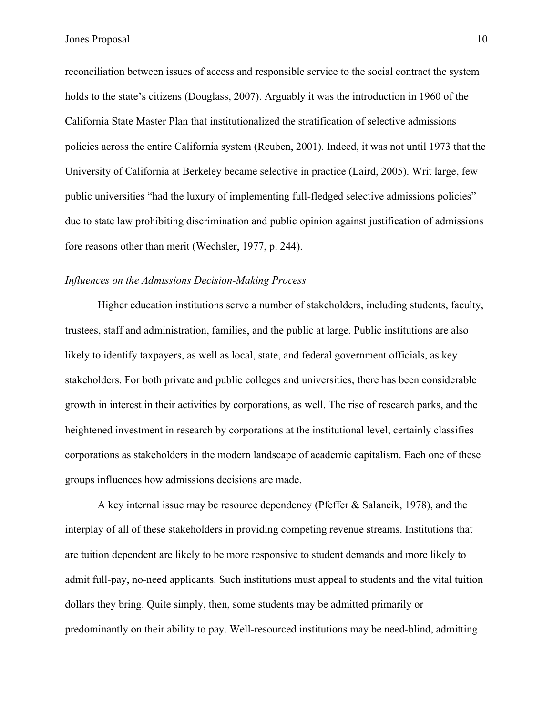reconciliation between issues of access and responsible service to the social contract the system holds to the state's citizens (Douglass, 2007). Arguably it was the introduction in 1960 of the California State Master Plan that institutionalized the stratification of selective admissions policies across the entire California system (Reuben, 2001). Indeed, it was not until 1973 that the University of California at Berkeley became selective in practice (Laird, 2005). Writ large, few public universities "had the luxury of implementing full-fledged selective admissions policies" due to state law prohibiting discrimination and public opinion against justification of admissions fore reasons other than merit (Wechsler, 1977, p. 244).

## *Influences on the Admissions Decision-Making Process*

Higher education institutions serve a number of stakeholders, including students, faculty, trustees, staff and administration, families, and the public at large. Public institutions are also likely to identify taxpayers, as well as local, state, and federal government officials, as key stakeholders. For both private and public colleges and universities, there has been considerable growth in interest in their activities by corporations, as well. The rise of research parks, and the heightened investment in research by corporations at the institutional level, certainly classifies corporations as stakeholders in the modern landscape of academic capitalism. Each one of these groups influences how admissions decisions are made.

A key internal issue may be resource dependency (Pfeffer & Salancik, 1978), and the interplay of all of these stakeholders in providing competing revenue streams. Institutions that are tuition dependent are likely to be more responsive to student demands and more likely to admit full-pay, no-need applicants. Such institutions must appeal to students and the vital tuition dollars they bring. Quite simply, then, some students may be admitted primarily or predominantly on their ability to pay. Well-resourced institutions may be need-blind, admitting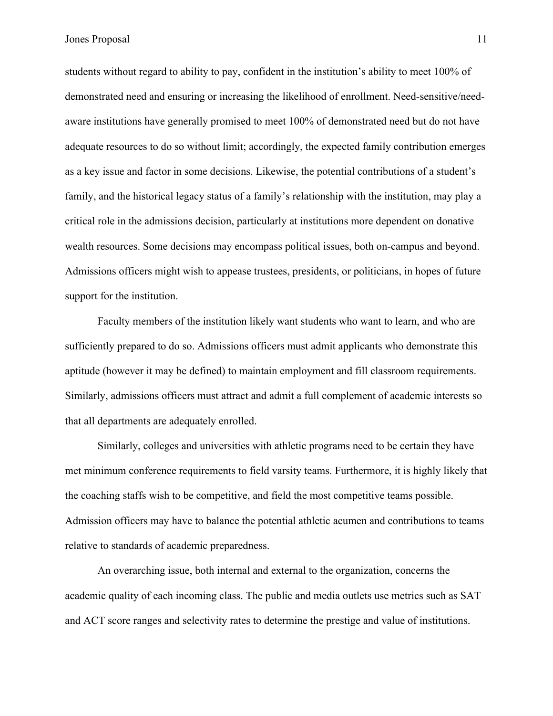students without regard to ability to pay, confident in the institution's ability to meet 100% of demonstrated need and ensuring or increasing the likelihood of enrollment. Need-sensitive/needaware institutions have generally promised to meet 100% of demonstrated need but do not have adequate resources to do so without limit; accordingly, the expected family contribution emerges as a key issue and factor in some decisions. Likewise, the potential contributions of a student's family, and the historical legacy status of a family's relationship with the institution, may play a critical role in the admissions decision, particularly at institutions more dependent on donative wealth resources. Some decisions may encompass political issues, both on-campus and beyond. Admissions officers might wish to appease trustees, presidents, or politicians, in hopes of future support for the institution.

Faculty members of the institution likely want students who want to learn, and who are sufficiently prepared to do so. Admissions officers must admit applicants who demonstrate this aptitude (however it may be defined) to maintain employment and fill classroom requirements. Similarly, admissions officers must attract and admit a full complement of academic interests so that all departments are adequately enrolled.

Similarly, colleges and universities with athletic programs need to be certain they have met minimum conference requirements to field varsity teams. Furthermore, it is highly likely that the coaching staffs wish to be competitive, and field the most competitive teams possible. Admission officers may have to balance the potential athletic acumen and contributions to teams relative to standards of academic preparedness.

An overarching issue, both internal and external to the organization, concerns the academic quality of each incoming class. The public and media outlets use metrics such as SAT and ACT score ranges and selectivity rates to determine the prestige and value of institutions.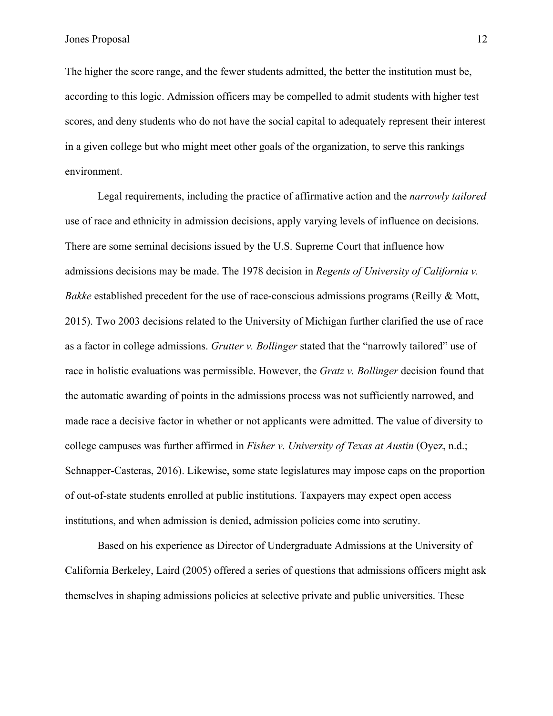The higher the score range, and the fewer students admitted, the better the institution must be, according to this logic. Admission officers may be compelled to admit students with higher test scores, and deny students who do not have the social capital to adequately represent their interest in a given college but who might meet other goals of the organization, to serve this rankings environment.

Legal requirements, including the practice of affirmative action and the *narrowly tailored* use of race and ethnicity in admission decisions, apply varying levels of influence on decisions. There are some seminal decisions issued by the U.S. Supreme Court that influence how admissions decisions may be made. The 1978 decision in *Regents of University of California v. Bakke* established precedent for the use of race-conscious admissions programs (Reilly & Mott, 2015). Two 2003 decisions related to the University of Michigan further clarified the use of race as a factor in college admissions. *Grutter v. Bollinger* stated that the "narrowly tailored" use of race in holistic evaluations was permissible. However, the *Gratz v. Bollinger* decision found that the automatic awarding of points in the admissions process was not sufficiently narrowed, and made race a decisive factor in whether or not applicants were admitted. The value of diversity to college campuses was further affirmed in *Fisher v. University of Texas at Austin* (Oyez, n.d.; Schnapper-Casteras, 2016). Likewise, some state legislatures may impose caps on the proportion of out-of-state students enrolled at public institutions. Taxpayers may expect open access institutions, and when admission is denied, admission policies come into scrutiny.

Based on his experience as Director of Undergraduate Admissions at the University of California Berkeley, Laird (2005) offered a series of questions that admissions officers might ask themselves in shaping admissions policies at selective private and public universities. These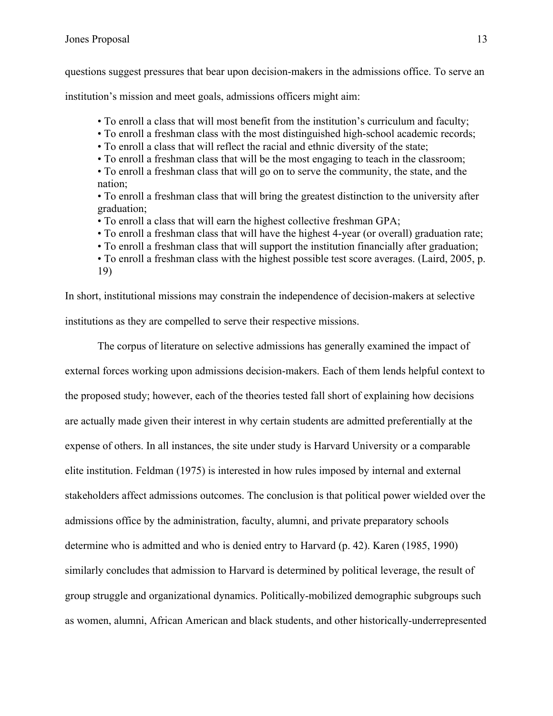questions suggest pressures that bear upon decision-makers in the admissions office. To serve an

institution's mission and meet goals, admissions officers might aim:

• To enroll a class that will most benefit from the institution's curriculum and faculty;

• To enroll a freshman class with the most distinguished high-school academic records;

• To enroll a class that will reflect the racial and ethnic diversity of the state;

• To enroll a freshman class that will be the most engaging to teach in the classroom;

• To enroll a freshman class that will go on to serve the community, the state, and the nation;

• To enroll a freshman class that will bring the greatest distinction to the university after graduation;

- To enroll a class that will earn the highest collective freshman GPA;
- To enroll a freshman class that will have the highest 4-year (or overall) graduation rate;
- To enroll a freshman class that will support the institution financially after graduation;
- To enroll a freshman class with the highest possible test score averages. (Laird, 2005, p. 19)

In short, institutional missions may constrain the independence of decision-makers at selective institutions as they are compelled to serve their respective missions.

The corpus of literature on selective admissions has generally examined the impact of external forces working upon admissions decision-makers. Each of them lends helpful context to the proposed study; however, each of the theories tested fall short of explaining how decisions are actually made given their interest in why certain students are admitted preferentially at the expense of others. In all instances, the site under study is Harvard University or a comparable elite institution. Feldman (1975) is interested in how rules imposed by internal and external stakeholders affect admissions outcomes. The conclusion is that political power wielded over the admissions office by the administration, faculty, alumni, and private preparatory schools determine who is admitted and who is denied entry to Harvard (p. 42). Karen (1985, 1990) similarly concludes that admission to Harvard is determined by political leverage, the result of group struggle and organizational dynamics. Politically-mobilized demographic subgroups such as women, alumni, African American and black students, and other historically-underrepresented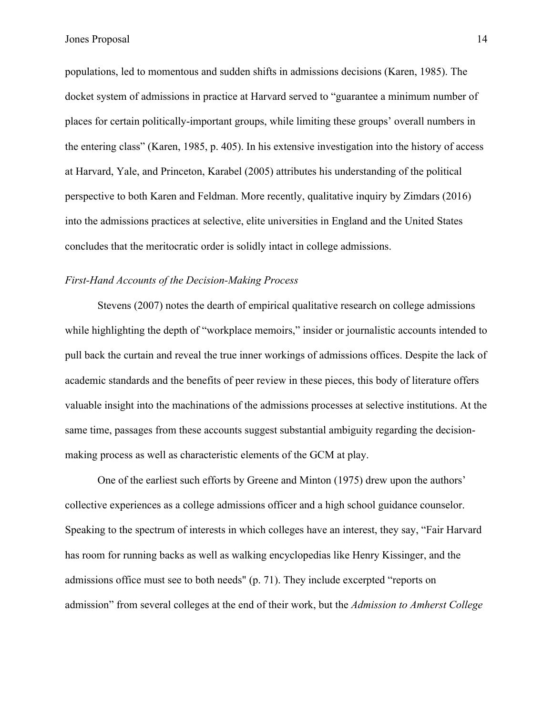populations, led to momentous and sudden shifts in admissions decisions (Karen, 1985). The docket system of admissions in practice at Harvard served to "guarantee a minimum number of places for certain politically-important groups, while limiting these groups' overall numbers in the entering class" (Karen, 1985, p. 405). In his extensive investigation into the history of access at Harvard, Yale, and Princeton, Karabel (2005) attributes his understanding of the political perspective to both Karen and Feldman. More recently, qualitative inquiry by Zimdars (2016) into the admissions practices at selective, elite universities in England and the United States concludes that the meritocratic order is solidly intact in college admissions.

## *First-Hand Accounts of the Decision-Making Process*

Stevens (2007) notes the dearth of empirical qualitative research on college admissions while highlighting the depth of "workplace memoirs," insider or journalistic accounts intended to pull back the curtain and reveal the true inner workings of admissions offices. Despite the lack of academic standards and the benefits of peer review in these pieces, this body of literature offers valuable insight into the machinations of the admissions processes at selective institutions. At the same time, passages from these accounts suggest substantial ambiguity regarding the decisionmaking process as well as characteristic elements of the GCM at play.

One of the earliest such efforts by Greene and Minton (1975) drew upon the authors' collective experiences as a college admissions officer and a high school guidance counselor. Speaking to the spectrum of interests in which colleges have an interest, they say, "Fair Harvard has room for running backs as well as walking encyclopedias like Henry Kissinger, and the admissions office must see to both needs" (p. 71). They include excerpted "reports on admission" from several colleges at the end of their work, but the *Admission to Amherst College*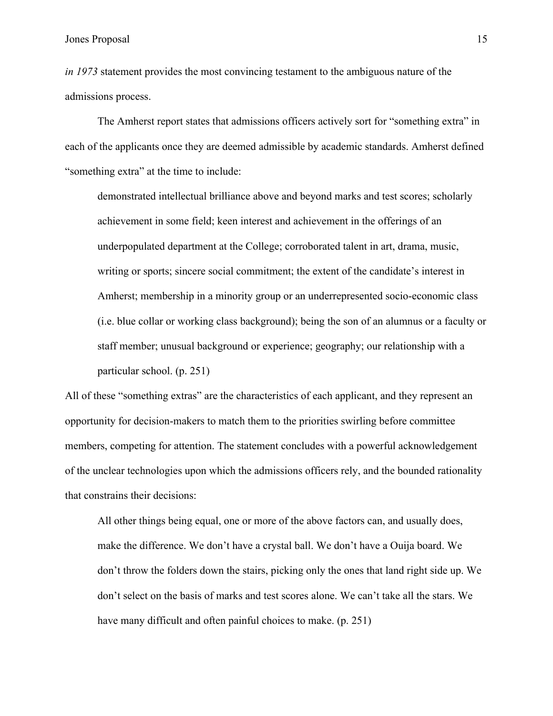*in 1973* statement provides the most convincing testament to the ambiguous nature of the admissions process.

The Amherst report states that admissions officers actively sort for "something extra" in each of the applicants once they are deemed admissible by academic standards. Amherst defined "something extra" at the time to include:

demonstrated intellectual brilliance above and beyond marks and test scores; scholarly achievement in some field; keen interest and achievement in the offerings of an underpopulated department at the College; corroborated talent in art, drama, music, writing or sports; sincere social commitment; the extent of the candidate's interest in Amherst; membership in a minority group or an underrepresented socio-economic class (i.e. blue collar or working class background); being the son of an alumnus or a faculty or staff member; unusual background or experience; geography; our relationship with a particular school. (p. 251)

All of these "something extras" are the characteristics of each applicant, and they represent an opportunity for decision-makers to match them to the priorities swirling before committee members, competing for attention. The statement concludes with a powerful acknowledgement of the unclear technologies upon which the admissions officers rely, and the bounded rationality that constrains their decisions:

All other things being equal, one or more of the above factors can, and usually does, make the difference. We don't have a crystal ball. We don't have a Ouija board. We don't throw the folders down the stairs, picking only the ones that land right side up. We don't select on the basis of marks and test scores alone. We can't take all the stars. We have many difficult and often painful choices to make. (p. 251)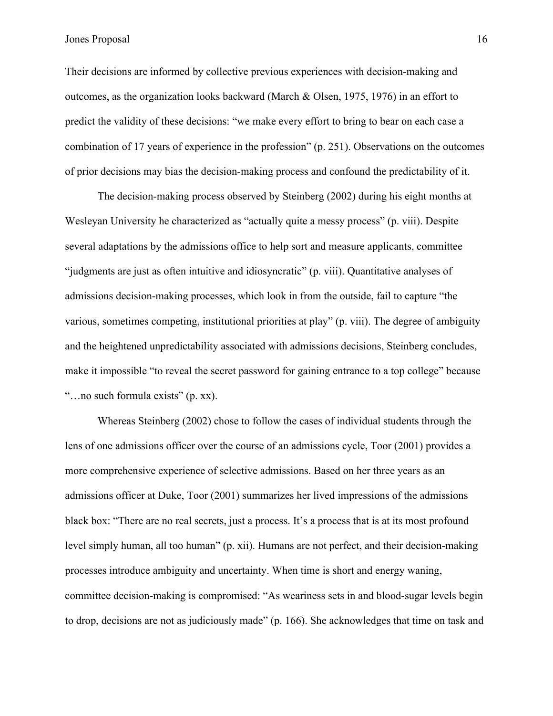Their decisions are informed by collective previous experiences with decision-making and outcomes, as the organization looks backward (March & Olsen, 1975, 1976) in an effort to predict the validity of these decisions: "we make every effort to bring to bear on each case a combination of 17 years of experience in the profession" (p. 251). Observations on the outcomes of prior decisions may bias the decision-making process and confound the predictability of it.

The decision-making process observed by Steinberg (2002) during his eight months at Wesleyan University he characterized as "actually quite a messy process" (p. viii). Despite several adaptations by the admissions office to help sort and measure applicants, committee "judgments are just as often intuitive and idiosyncratic" (p. viii). Quantitative analyses of admissions decision-making processes, which look in from the outside, fail to capture "the various, sometimes competing, institutional priorities at play" (p. viii). The degree of ambiguity and the heightened unpredictability associated with admissions decisions, Steinberg concludes, make it impossible "to reveal the secret password for gaining entrance to a top college" because "…no such formula exists" (p. xx).

Whereas Steinberg (2002) chose to follow the cases of individual students through the lens of one admissions officer over the course of an admissions cycle, Toor (2001) provides a more comprehensive experience of selective admissions. Based on her three years as an admissions officer at Duke, Toor (2001) summarizes her lived impressions of the admissions black box: "There are no real secrets, just a process. It's a process that is at its most profound level simply human, all too human" (p. xii). Humans are not perfect, and their decision-making processes introduce ambiguity and uncertainty. When time is short and energy waning, committee decision-making is compromised: "As weariness sets in and blood-sugar levels begin to drop, decisions are not as judiciously made" (p. 166). She acknowledges that time on task and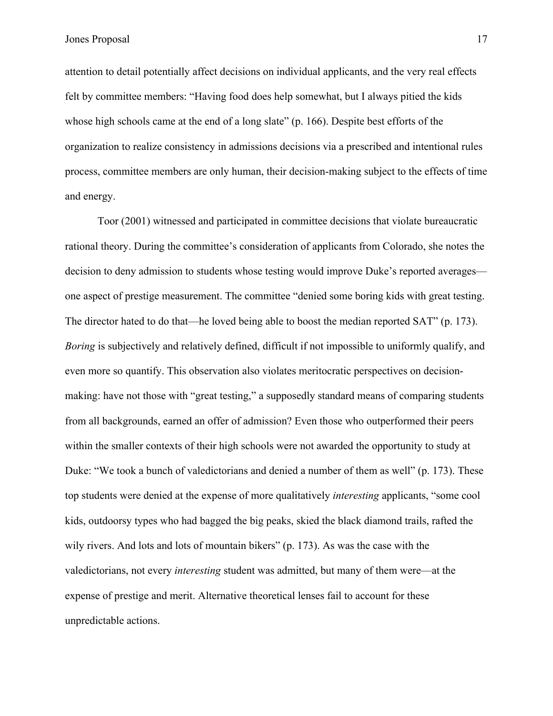attention to detail potentially affect decisions on individual applicants, and the very real effects felt by committee members: "Having food does help somewhat, but I always pitied the kids whose high schools came at the end of a long slate" (p. 166). Despite best efforts of the organization to realize consistency in admissions decisions via a prescribed and intentional rules process, committee members are only human, their decision-making subject to the effects of time and energy.

Toor (2001) witnessed and participated in committee decisions that violate bureaucratic rational theory. During the committee's consideration of applicants from Colorado, she notes the decision to deny admission to students whose testing would improve Duke's reported averages one aspect of prestige measurement. The committee "denied some boring kids with great testing. The director hated to do that—he loved being able to boost the median reported SAT" (p. 173). *Boring* is subjectively and relatively defined, difficult if not impossible to uniformly qualify, and even more so quantify. This observation also violates meritocratic perspectives on decisionmaking: have not those with "great testing," a supposedly standard means of comparing students from all backgrounds, earned an offer of admission? Even those who outperformed their peers within the smaller contexts of their high schools were not awarded the opportunity to study at Duke: "We took a bunch of valedictorians and denied a number of them as well" (p. 173). These top students were denied at the expense of more qualitatively *interesting* applicants, "some cool kids, outdoorsy types who had bagged the big peaks, skied the black diamond trails, rafted the wily rivers. And lots and lots of mountain bikers" (p. 173). As was the case with the valedictorians, not every *interesting* student was admitted, but many of them were—at the expense of prestige and merit. Alternative theoretical lenses fail to account for these unpredictable actions.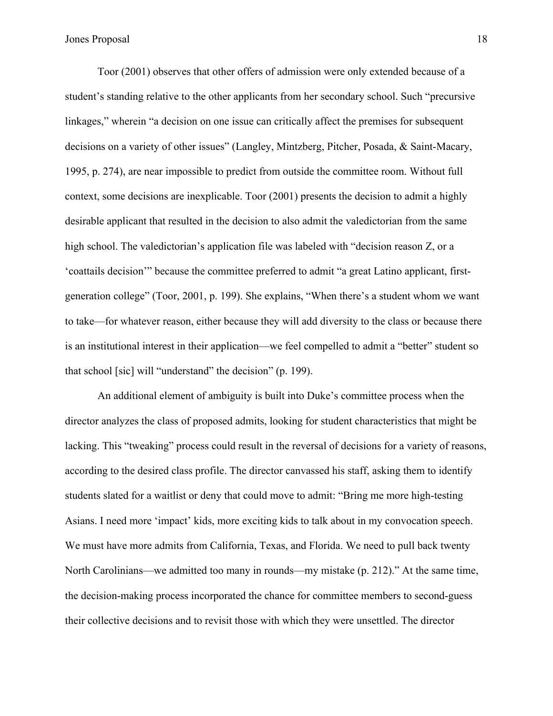Toor (2001) observes that other offers of admission were only extended because of a student's standing relative to the other applicants from her secondary school. Such "precursive linkages," wherein "a decision on one issue can critically affect the premises for subsequent decisions on a variety of other issues" (Langley, Mintzberg, Pitcher, Posada, & Saint-Macary, 1995, p. 274), are near impossible to predict from outside the committee room. Without full context, some decisions are inexplicable. Toor (2001) presents the decision to admit a highly desirable applicant that resulted in the decision to also admit the valedictorian from the same high school. The valedictorian's application file was labeled with "decision reason Z, or a 'coattails decision'" because the committee preferred to admit "a great Latino applicant, firstgeneration college" (Toor, 2001, p. 199). She explains, "When there's a student whom we want to take—for whatever reason, either because they will add diversity to the class or because there is an institutional interest in their application—we feel compelled to admit a "better" student so that school [sic] will "understand" the decision" (p. 199).

An additional element of ambiguity is built into Duke's committee process when the director analyzes the class of proposed admits, looking for student characteristics that might be lacking. This "tweaking" process could result in the reversal of decisions for a variety of reasons, according to the desired class profile. The director canvassed his staff, asking them to identify students slated for a waitlist or deny that could move to admit: "Bring me more high-testing Asians. I need more 'impact' kids, more exciting kids to talk about in my convocation speech. We must have more admits from California, Texas, and Florida. We need to pull back twenty North Carolinians—we admitted too many in rounds—my mistake (p. 212)." At the same time, the decision-making process incorporated the chance for committee members to second-guess their collective decisions and to revisit those with which they were unsettled. The director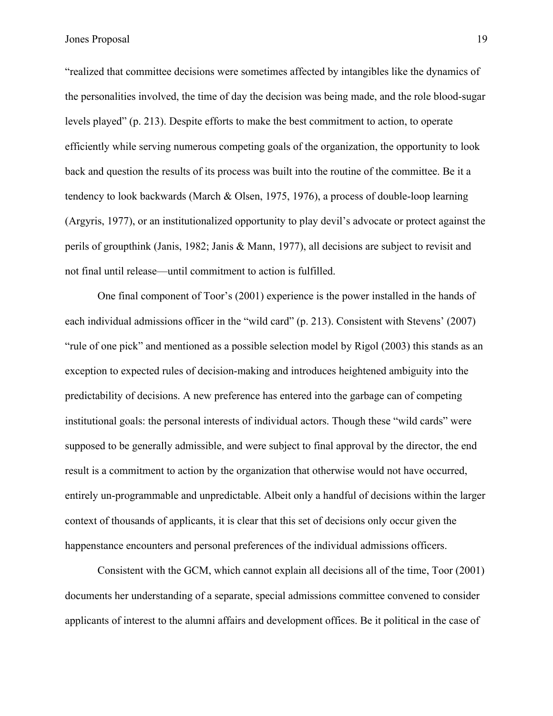"realized that committee decisions were sometimes affected by intangibles like the dynamics of the personalities involved, the time of day the decision was being made, and the role blood-sugar levels played" (p. 213). Despite efforts to make the best commitment to action, to operate efficiently while serving numerous competing goals of the organization, the opportunity to look back and question the results of its process was built into the routine of the committee. Be it a tendency to look backwards (March & Olsen, 1975, 1976), a process of double-loop learning (Argyris, 1977), or an institutionalized opportunity to play devil's advocate or protect against the perils of groupthink (Janis, 1982; Janis & Mann, 1977), all decisions are subject to revisit and not final until release—until commitment to action is fulfilled.

One final component of Toor's (2001) experience is the power installed in the hands of each individual admissions officer in the "wild card" (p. 213). Consistent with Stevens' (2007) "rule of one pick" and mentioned as a possible selection model by Rigol (2003) this stands as an exception to expected rules of decision-making and introduces heightened ambiguity into the predictability of decisions. A new preference has entered into the garbage can of competing institutional goals: the personal interests of individual actors. Though these "wild cards" were supposed to be generally admissible, and were subject to final approval by the director, the end result is a commitment to action by the organization that otherwise would not have occurred, entirely un-programmable and unpredictable. Albeit only a handful of decisions within the larger context of thousands of applicants, it is clear that this set of decisions only occur given the happenstance encounters and personal preferences of the individual admissions officers.

Consistent with the GCM, which cannot explain all decisions all of the time, Toor (2001) documents her understanding of a separate, special admissions committee convened to consider applicants of interest to the alumni affairs and development offices. Be it political in the case of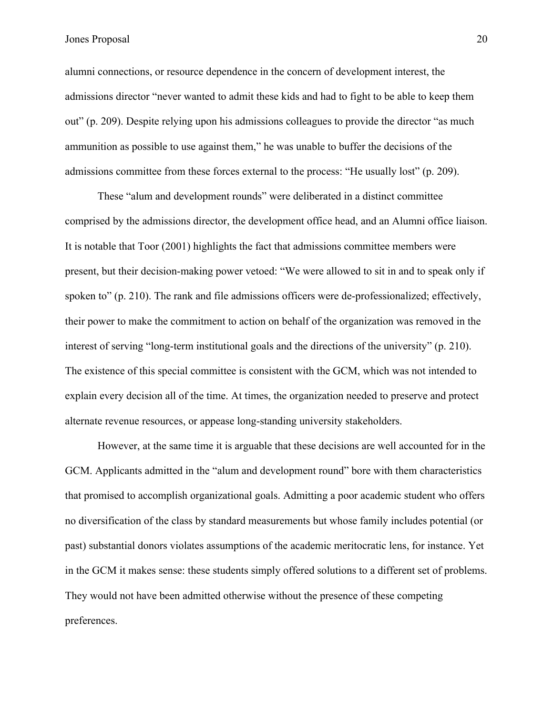alumni connections, or resource dependence in the concern of development interest, the admissions director "never wanted to admit these kids and had to fight to be able to keep them out" (p. 209). Despite relying upon his admissions colleagues to provide the director "as much ammunition as possible to use against them," he was unable to buffer the decisions of the admissions committee from these forces external to the process: "He usually lost" (p. 209).

These "alum and development rounds" were deliberated in a distinct committee comprised by the admissions director, the development office head, and an Alumni office liaison. It is notable that Toor (2001) highlights the fact that admissions committee members were present, but their decision-making power vetoed: "We were allowed to sit in and to speak only if spoken to" (p. 210). The rank and file admissions officers were de-professionalized; effectively, their power to make the commitment to action on behalf of the organization was removed in the interest of serving "long-term institutional goals and the directions of the university" (p. 210). The existence of this special committee is consistent with the GCM, which was not intended to explain every decision all of the time. At times, the organization needed to preserve and protect alternate revenue resources, or appease long-standing university stakeholders.

However, at the same time it is arguable that these decisions are well accounted for in the GCM. Applicants admitted in the "alum and development round" bore with them characteristics that promised to accomplish organizational goals. Admitting a poor academic student who offers no diversification of the class by standard measurements but whose family includes potential (or past) substantial donors violates assumptions of the academic meritocratic lens, for instance. Yet in the GCM it makes sense: these students simply offered solutions to a different set of problems. They would not have been admitted otherwise without the presence of these competing preferences.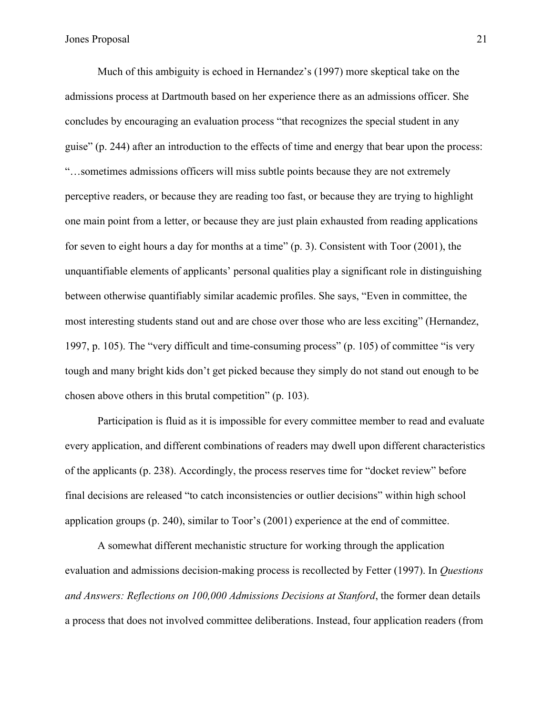Much of this ambiguity is echoed in Hernandez's (1997) more skeptical take on the admissions process at Dartmouth based on her experience there as an admissions officer. She concludes by encouraging an evaluation process "that recognizes the special student in any guise" (p. 244) after an introduction to the effects of time and energy that bear upon the process: "…sometimes admissions officers will miss subtle points because they are not extremely perceptive readers, or because they are reading too fast, or because they are trying to highlight one main point from a letter, or because they are just plain exhausted from reading applications for seven to eight hours a day for months at a time" (p. 3). Consistent with Toor (2001), the unquantifiable elements of applicants' personal qualities play a significant role in distinguishing between otherwise quantifiably similar academic profiles. She says, "Even in committee, the most interesting students stand out and are chose over those who are less exciting" (Hernandez, 1997, p. 105). The "very difficult and time-consuming process" (p. 105) of committee "is very tough and many bright kids don't get picked because they simply do not stand out enough to be chosen above others in this brutal competition" (p. 103).

Participation is fluid as it is impossible for every committee member to read and evaluate every application, and different combinations of readers may dwell upon different characteristics of the applicants (p. 238). Accordingly, the process reserves time for "docket review" before final decisions are released "to catch inconsistencies or outlier decisions" within high school application groups (p. 240), similar to Toor's (2001) experience at the end of committee.

A somewhat different mechanistic structure for working through the application evaluation and admissions decision-making process is recollected by Fetter (1997). In *Questions and Answers: Reflections on 100,000 Admissions Decisions at Stanford*, the former dean details a process that does not involved committee deliberations. Instead, four application readers (from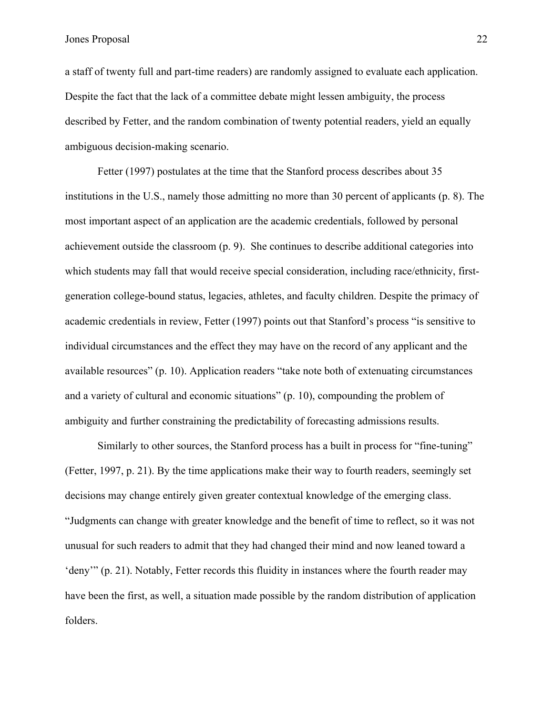a staff of twenty full and part-time readers) are randomly assigned to evaluate each application. Despite the fact that the lack of a committee debate might lessen ambiguity, the process described by Fetter, and the random combination of twenty potential readers, yield an equally ambiguous decision-making scenario.

Fetter (1997) postulates at the time that the Stanford process describes about 35 institutions in the U.S., namely those admitting no more than 30 percent of applicants (p. 8). The most important aspect of an application are the academic credentials, followed by personal achievement outside the classroom (p. 9). She continues to describe additional categories into which students may fall that would receive special consideration, including race/ethnicity, firstgeneration college-bound status, legacies, athletes, and faculty children. Despite the primacy of academic credentials in review, Fetter (1997) points out that Stanford's process "is sensitive to individual circumstances and the effect they may have on the record of any applicant and the available resources" (p. 10). Application readers "take note both of extenuating circumstances and a variety of cultural and economic situations" (p. 10), compounding the problem of ambiguity and further constraining the predictability of forecasting admissions results.

Similarly to other sources, the Stanford process has a built in process for "fine-tuning" (Fetter, 1997, p. 21). By the time applications make their way to fourth readers, seemingly set decisions may change entirely given greater contextual knowledge of the emerging class. "Judgments can change with greater knowledge and the benefit of time to reflect, so it was not unusual for such readers to admit that they had changed their mind and now leaned toward a 'deny'" (p. 21). Notably, Fetter records this fluidity in instances where the fourth reader may have been the first, as well, a situation made possible by the random distribution of application folders.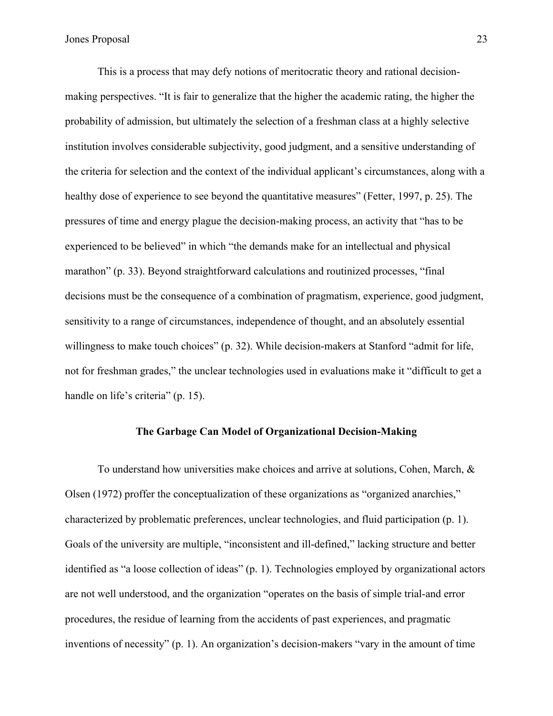This is a process that may defy notions of meritocratic theory and rational decisionmaking perspectives. "It is fair to generalize that the higher the academic rating, the higher the probability of admission, but ultimately the selection of a freshman class at a highly selective institution involves considerable subjectivity, good judgment, and a sensitive understanding of the criteria for selection and the context of the individual applicant's circumstances, along with a healthy dose of experience to see beyond the quantitative measures" (Fetter, 1997, p. 25). The pressures of time and energy plague the decision-making process, an activity that "has to be experienced to be believed" in which "the demands make for an intellectual and physical marathon" (p. 33). Beyond straightforward calculations and routinized processes, "final decisions must be the consequence of a combination of pragmatism, experience, good judgment, sensitivity to a range of circumstances, independence of thought, and an absolutely essential willingness to make touch choices" (p. 32). While decision-makers at Stanford "admit for life, not for freshman grades," the unclear technologies used in evaluations make it "difficult to get a handle on life's criteria" (p. 15).

### **The Garbage Can Model of Organizational Decision-Making**

To understand how universities make choices and arrive at solutions, Cohen, March, & Olsen (1972) proffer the conceptualization of these organizations as "organized anarchies," characterized by problematic preferences, unclear technologies, and fluid participation (p. 1). Goals of the university are multiple, "inconsistent and ill-defined," lacking structure and better identified as "a loose collection of ideas" (p. 1). Technologies employed by organizational actors are not well understood, and the organization "operates on the basis of simple trial-and error procedures, the residue of learning from the accidents of past experiences, and pragmatic inventions of necessity" (p. 1). An organization's decision-makers "vary in the amount of time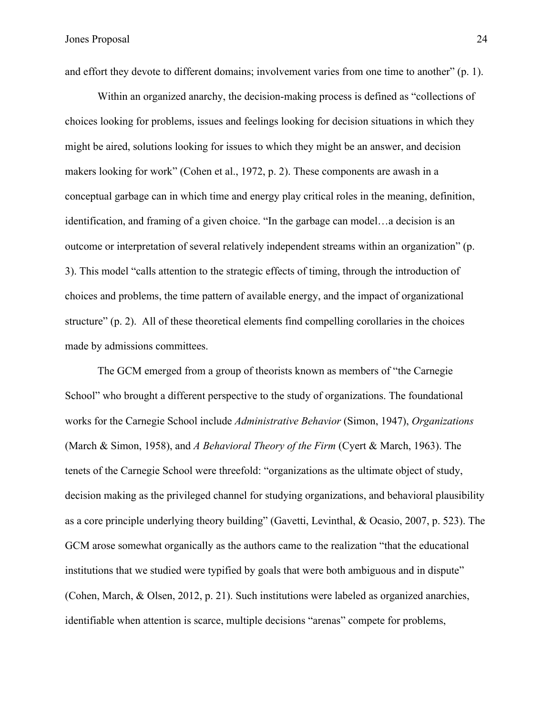and effort they devote to different domains; involvement varies from one time to another" (p. 1).

Within an organized anarchy, the decision-making process is defined as "collections of choices looking for problems, issues and feelings looking for decision situations in which they might be aired, solutions looking for issues to which they might be an answer, and decision makers looking for work" (Cohen et al., 1972, p. 2). These components are awash in a conceptual garbage can in which time and energy play critical roles in the meaning, definition, identification, and framing of a given choice. "In the garbage can model…a decision is an outcome or interpretation of several relatively independent streams within an organization" (p. 3). This model "calls attention to the strategic effects of timing, through the introduction of choices and problems, the time pattern of available energy, and the impact of organizational structure" (p. 2). All of these theoretical elements find compelling corollaries in the choices made by admissions committees.

The GCM emerged from a group of theorists known as members of "the Carnegie School" who brought a different perspective to the study of organizations. The foundational works for the Carnegie School include *Administrative Behavior* (Simon, 1947), *Organizations*  (March & Simon, 1958), and *A Behavioral Theory of the Firm* (Cyert & March, 1963). The tenets of the Carnegie School were threefold: "organizations as the ultimate object of study, decision making as the privileged channel for studying organizations, and behavioral plausibility as a core principle underlying theory building" (Gavetti, Levinthal, & Ocasio, 2007, p. 523). The GCM arose somewhat organically as the authors came to the realization "that the educational institutions that we studied were typified by goals that were both ambiguous and in dispute" (Cohen, March, & Olsen, 2012, p. 21). Such institutions were labeled as organized anarchies, identifiable when attention is scarce, multiple decisions "arenas" compete for problems,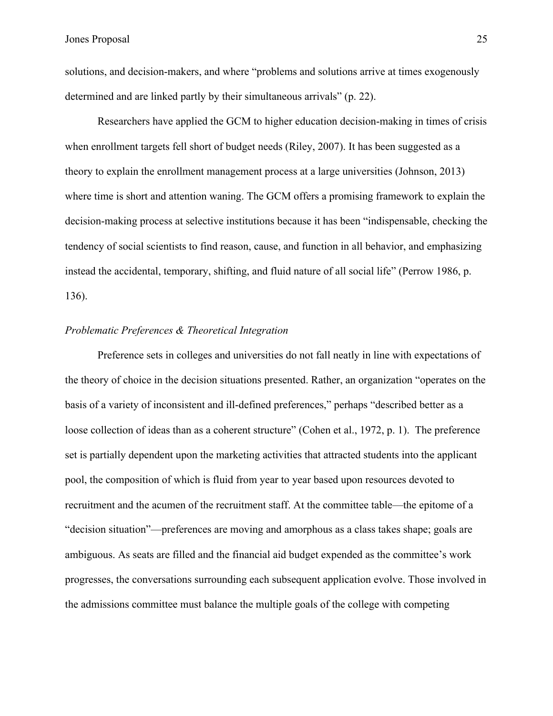solutions, and decision-makers, and where "problems and solutions arrive at times exogenously determined and are linked partly by their simultaneous arrivals" (p. 22).

Researchers have applied the GCM to higher education decision-making in times of crisis when enrollment targets fell short of budget needs (Riley, 2007). It has been suggested as a theory to explain the enrollment management process at a large universities (Johnson, 2013) where time is short and attention waning. The GCM offers a promising framework to explain the decision-making process at selective institutions because it has been "indispensable, checking the tendency of social scientists to find reason, cause, and function in all behavior, and emphasizing instead the accidental, temporary, shifting, and fluid nature of all social life" (Perrow 1986, p. 136).

### *Problematic Preferences & Theoretical Integration*

Preference sets in colleges and universities do not fall neatly in line with expectations of the theory of choice in the decision situations presented. Rather, an organization "operates on the basis of a variety of inconsistent and ill-defined preferences," perhaps "described better as a loose collection of ideas than as a coherent structure" (Cohen et al., 1972, p. 1). The preference set is partially dependent upon the marketing activities that attracted students into the applicant pool, the composition of which is fluid from year to year based upon resources devoted to recruitment and the acumen of the recruitment staff. At the committee table—the epitome of a "decision situation"—preferences are moving and amorphous as a class takes shape; goals are ambiguous. As seats are filled and the financial aid budget expended as the committee's work progresses, the conversations surrounding each subsequent application evolve. Those involved in the admissions committee must balance the multiple goals of the college with competing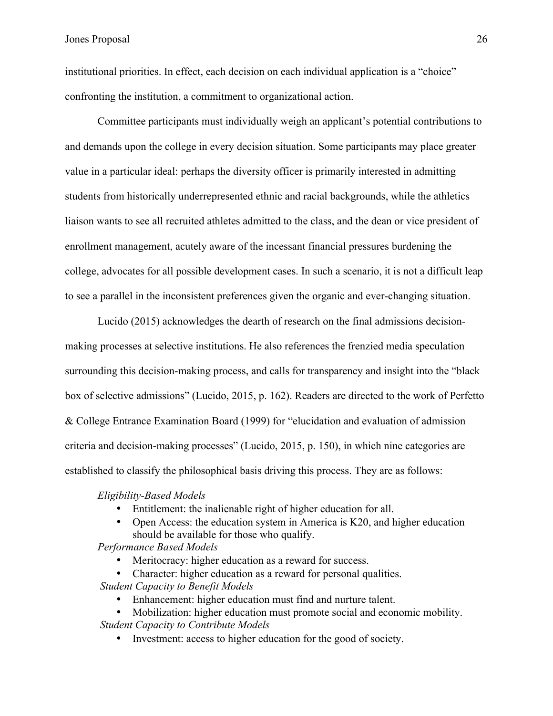institutional priorities. In effect, each decision on each individual application is a "choice" confronting the institution, a commitment to organizational action.

Committee participants must individually weigh an applicant's potential contributions to and demands upon the college in every decision situation. Some participants may place greater value in a particular ideal: perhaps the diversity officer is primarily interested in admitting students from historically underrepresented ethnic and racial backgrounds, while the athletics liaison wants to see all recruited athletes admitted to the class, and the dean or vice president of enrollment management, acutely aware of the incessant financial pressures burdening the college, advocates for all possible development cases. In such a scenario, it is not a difficult leap to see a parallel in the inconsistent preferences given the organic and ever-changing situation.

Lucido (2015) acknowledges the dearth of research on the final admissions decisionmaking processes at selective institutions. He also references the frenzied media speculation surrounding this decision-making process, and calls for transparency and insight into the "black box of selective admissions" (Lucido, 2015, p. 162). Readers are directed to the work of Perfetto & College Entrance Examination Board (1999) for "elucidation and evaluation of admission criteria and decision-making processes" (Lucido, 2015, p. 150), in which nine categories are established to classify the philosophical basis driving this process. They are as follows:

#### *Eligibility-Based Models*

- Entitlement: the inalienable right of higher education for all.
- Open Access: the education system in America is K20, and higher education should be available for those who qualify.

*Performance Based Models*

- Meritocracy: higher education as a reward for success.
- Character: higher education as a reward for personal qualities. *Student Capacity to Benefit Models*
	- Enhancement: higher education must find and nurture talent.
	- Mobilization: higher education must promote social and economic mobility.

*Student Capacity to Contribute Models*

• Investment: access to higher education for the good of society.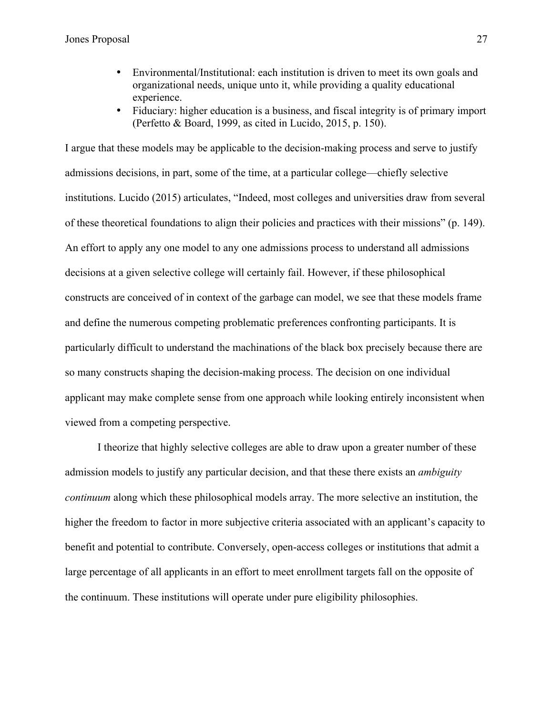- Environmental/Institutional: each institution is driven to meet its own goals and organizational needs, unique unto it, while providing a quality educational experience.
- Fiduciary: higher education is a business, and fiscal integrity is of primary import (Perfetto & Board, 1999, as cited in Lucido, 2015, p. 150).

I argue that these models may be applicable to the decision-making process and serve to justify admissions decisions, in part, some of the time, at a particular college—chiefly selective institutions. Lucido (2015) articulates, "Indeed, most colleges and universities draw from several of these theoretical foundations to align their policies and practices with their missions" (p. 149). An effort to apply any one model to any one admissions process to understand all admissions decisions at a given selective college will certainly fail. However, if these philosophical constructs are conceived of in context of the garbage can model, we see that these models frame and define the numerous competing problematic preferences confronting participants. It is particularly difficult to understand the machinations of the black box precisely because there are so many constructs shaping the decision-making process. The decision on one individual applicant may make complete sense from one approach while looking entirely inconsistent when viewed from a competing perspective.

I theorize that highly selective colleges are able to draw upon a greater number of these admission models to justify any particular decision, and that these there exists an *ambiguity continuum* along which these philosophical models array. The more selective an institution, the higher the freedom to factor in more subjective criteria associated with an applicant's capacity to benefit and potential to contribute. Conversely, open-access colleges or institutions that admit a large percentage of all applicants in an effort to meet enrollment targets fall on the opposite of the continuum. These institutions will operate under pure eligibility philosophies.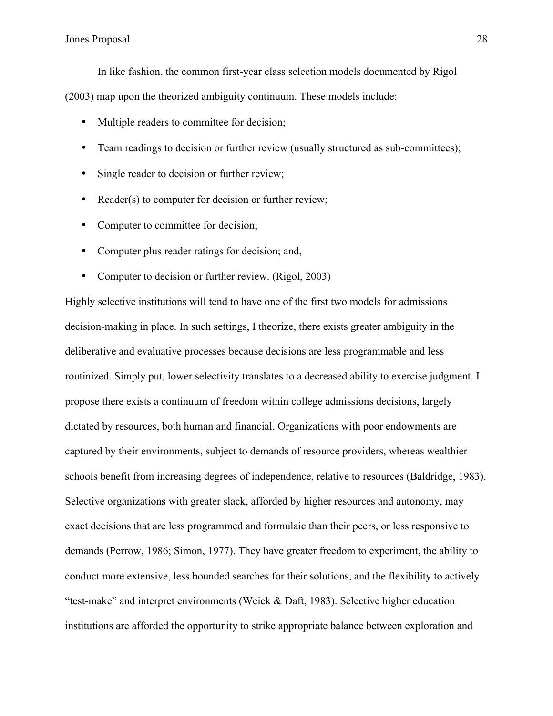In like fashion, the common first-year class selection models documented by Rigol

(2003) map upon the theorized ambiguity continuum. These models include:

- Multiple readers to committee for decision;
- Team readings to decision or further review (usually structured as sub-committees);
- Single reader to decision or further review;
- Reader(s) to computer for decision or further review;
- Computer to committee for decision;
- Computer plus reader ratings for decision; and,
- Computer to decision or further review. (Rigol, 2003)

Highly selective institutions will tend to have one of the first two models for admissions decision-making in place. In such settings, I theorize, there exists greater ambiguity in the deliberative and evaluative processes because decisions are less programmable and less routinized. Simply put, lower selectivity translates to a decreased ability to exercise judgment. I propose there exists a continuum of freedom within college admissions decisions, largely dictated by resources, both human and financial. Organizations with poor endowments are captured by their environments, subject to demands of resource providers, whereas wealthier schools benefit from increasing degrees of independence, relative to resources (Baldridge, 1983). Selective organizations with greater slack, afforded by higher resources and autonomy, may exact decisions that are less programmed and formulaic than their peers, or less responsive to demands (Perrow, 1986; Simon, 1977). They have greater freedom to experiment, the ability to conduct more extensive, less bounded searches for their solutions, and the flexibility to actively "test-make" and interpret environments (Weick & Daft, 1983). Selective higher education institutions are afforded the opportunity to strike appropriate balance between exploration and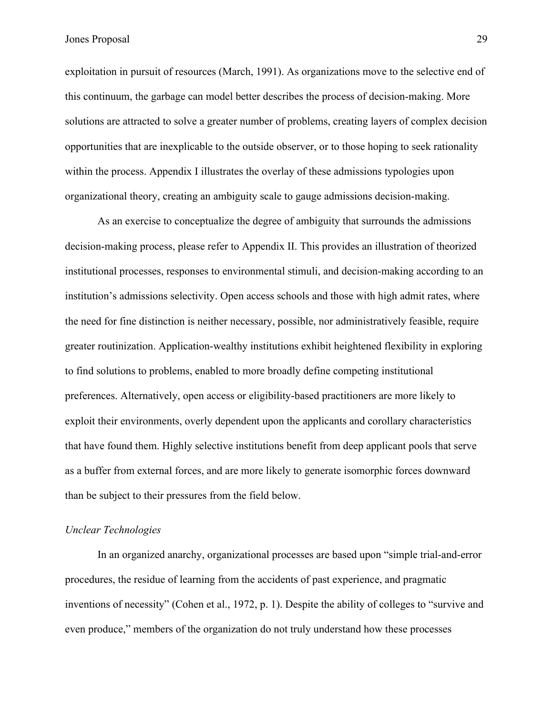exploitation in pursuit of resources (March, 1991). As organizations move to the selective end of this continuum, the garbage can model better describes the process of decision-making. More solutions are attracted to solve a greater number of problems, creating layers of complex decision opportunities that are inexplicable to the outside observer, or to those hoping to seek rationality within the process. Appendix I illustrates the overlay of these admissions typologies upon organizational theory, creating an ambiguity scale to gauge admissions decision-making.

As an exercise to conceptualize the degree of ambiguity that surrounds the admissions decision-making process, please refer to Appendix II. This provides an illustration of theorized institutional processes, responses to environmental stimuli, and decision-making according to an institution's admissions selectivity. Open access schools and those with high admit rates, where the need for fine distinction is neither necessary, possible, nor administratively feasible, require greater routinization. Application-wealthy institutions exhibit heightened flexibility in exploring to find solutions to problems, enabled to more broadly define competing institutional preferences. Alternatively, open access or eligibility-based practitioners are more likely to exploit their environments, overly dependent upon the applicants and corollary characteristics that have found them. Highly selective institutions benefit from deep applicant pools that serve as a buffer from external forces, and are more likely to generate isomorphic forces downward than be subject to their pressures from the field below.

#### *Unclear Technologies*

In an organized anarchy, organizational processes are based upon "simple trial-and-error procedures, the residue of learning from the accidents of past experience, and pragmatic inventions of necessity" (Cohen et al., 1972, p. 1). Despite the ability of colleges to "survive and even produce," members of the organization do not truly understand how these processes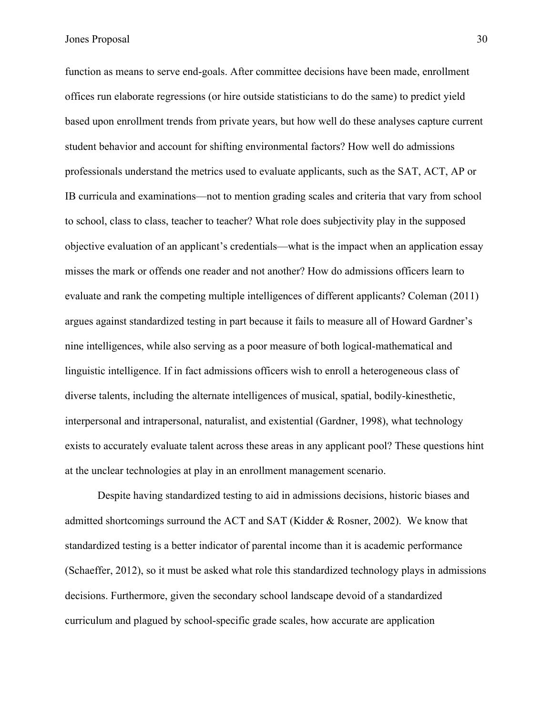function as means to serve end-goals. After committee decisions have been made, enrollment offices run elaborate regressions (or hire outside statisticians to do the same) to predict yield based upon enrollment trends from private years, but how well do these analyses capture current student behavior and account for shifting environmental factors? How well do admissions professionals understand the metrics used to evaluate applicants, such as the SAT, ACT, AP or IB curricula and examinations—not to mention grading scales and criteria that vary from school to school, class to class, teacher to teacher? What role does subjectivity play in the supposed objective evaluation of an applicant's credentials—what is the impact when an application essay misses the mark or offends one reader and not another? How do admissions officers learn to evaluate and rank the competing multiple intelligences of different applicants? Coleman (2011) argues against standardized testing in part because it fails to measure all of Howard Gardner's nine intelligences, while also serving as a poor measure of both logical-mathematical and linguistic intelligence. If in fact admissions officers wish to enroll a heterogeneous class of diverse talents, including the alternate intelligences of musical, spatial, bodily-kinesthetic, interpersonal and intrapersonal, naturalist, and existential (Gardner, 1998), what technology exists to accurately evaluate talent across these areas in any applicant pool? These questions hint at the unclear technologies at play in an enrollment management scenario.

Despite having standardized testing to aid in admissions decisions, historic biases and admitted shortcomings surround the ACT and SAT (Kidder & Rosner, 2002). We know that standardized testing is a better indicator of parental income than it is academic performance (Schaeffer, 2012), so it must be asked what role this standardized technology plays in admissions decisions. Furthermore, given the secondary school landscape devoid of a standardized curriculum and plagued by school-specific grade scales, how accurate are application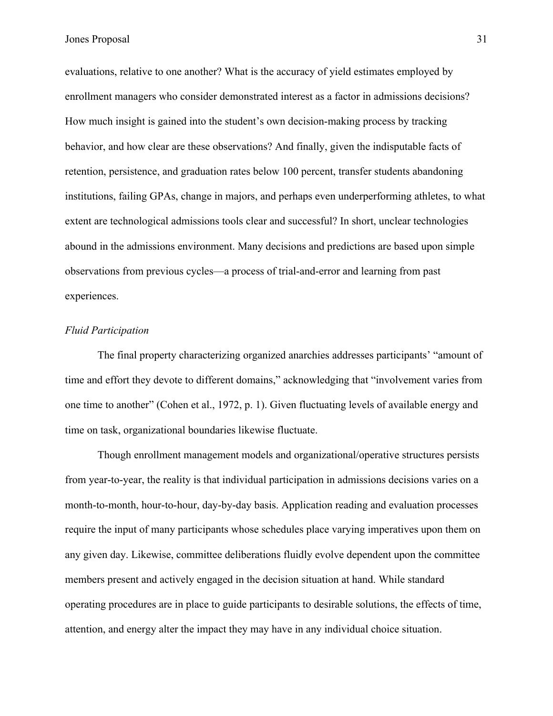evaluations, relative to one another? What is the accuracy of yield estimates employed by enrollment managers who consider demonstrated interest as a factor in admissions decisions? How much insight is gained into the student's own decision-making process by tracking behavior, and how clear are these observations? And finally, given the indisputable facts of retention, persistence, and graduation rates below 100 percent, transfer students abandoning institutions, failing GPAs, change in majors, and perhaps even underperforming athletes, to what extent are technological admissions tools clear and successful? In short, unclear technologies abound in the admissions environment. Many decisions and predictions are based upon simple observations from previous cycles—a process of trial-and-error and learning from past experiences.

#### *Fluid Participation*

The final property characterizing organized anarchies addresses participants' "amount of time and effort they devote to different domains," acknowledging that "involvement varies from one time to another" (Cohen et al., 1972, p. 1). Given fluctuating levels of available energy and time on task, organizational boundaries likewise fluctuate.

Though enrollment management models and organizational/operative structures persists from year-to-year, the reality is that individual participation in admissions decisions varies on a month-to-month, hour-to-hour, day-by-day basis. Application reading and evaluation processes require the input of many participants whose schedules place varying imperatives upon them on any given day. Likewise, committee deliberations fluidly evolve dependent upon the committee members present and actively engaged in the decision situation at hand. While standard operating procedures are in place to guide participants to desirable solutions, the effects of time, attention, and energy alter the impact they may have in any individual choice situation.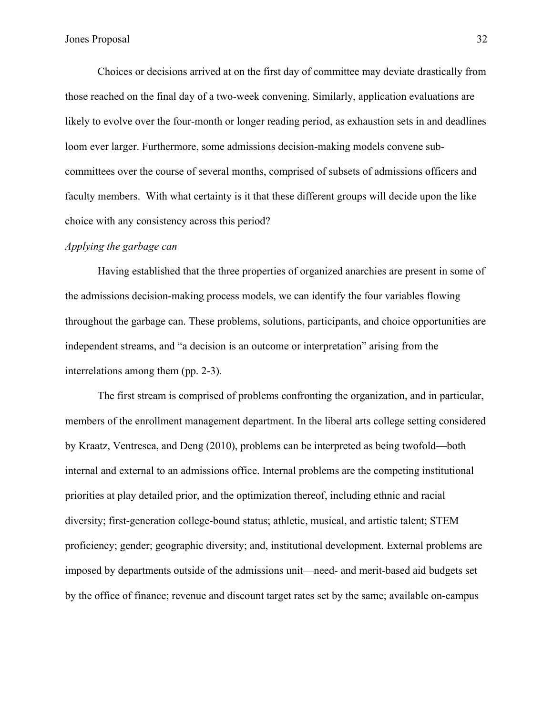Choices or decisions arrived at on the first day of committee may deviate drastically from those reached on the final day of a two-week convening. Similarly, application evaluations are likely to evolve over the four-month or longer reading period, as exhaustion sets in and deadlines loom ever larger. Furthermore, some admissions decision-making models convene subcommittees over the course of several months, comprised of subsets of admissions officers and faculty members. With what certainty is it that these different groups will decide upon the like choice with any consistency across this period?

#### *Applying the garbage can*

Having established that the three properties of organized anarchies are present in some of the admissions decision-making process models, we can identify the four variables flowing throughout the garbage can. These problems, solutions, participants, and choice opportunities are independent streams, and "a decision is an outcome or interpretation" arising from the interrelations among them (pp. 2-3).

The first stream is comprised of problems confronting the organization, and in particular, members of the enrollment management department. In the liberal arts college setting considered by Kraatz, Ventresca, and Deng (2010), problems can be interpreted as being twofold—both internal and external to an admissions office. Internal problems are the competing institutional priorities at play detailed prior, and the optimization thereof, including ethnic and racial diversity; first-generation college-bound status; athletic, musical, and artistic talent; STEM proficiency; gender; geographic diversity; and, institutional development. External problems are imposed by departments outside of the admissions unit—need- and merit-based aid budgets set by the office of finance; revenue and discount target rates set by the same; available on-campus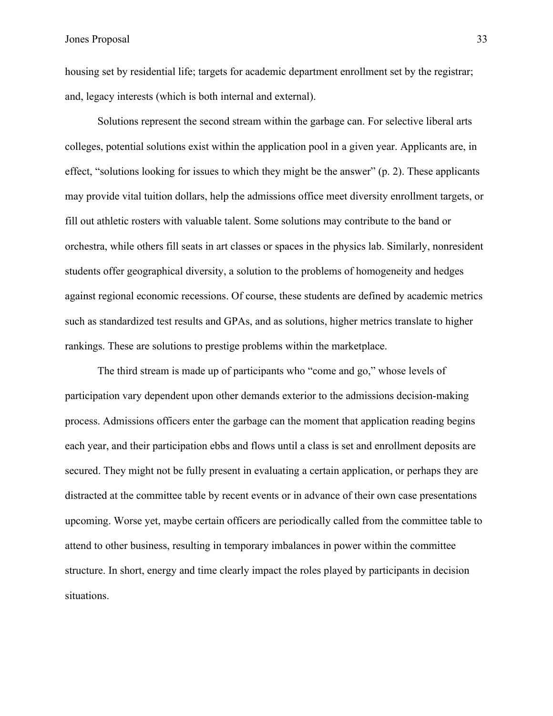housing set by residential life; targets for academic department enrollment set by the registrar; and, legacy interests (which is both internal and external).

Solutions represent the second stream within the garbage can. For selective liberal arts colleges, potential solutions exist within the application pool in a given year. Applicants are, in effect, "solutions looking for issues to which they might be the answer" (p. 2). These applicants may provide vital tuition dollars, help the admissions office meet diversity enrollment targets, or fill out athletic rosters with valuable talent. Some solutions may contribute to the band or orchestra, while others fill seats in art classes or spaces in the physics lab. Similarly, nonresident students offer geographical diversity, a solution to the problems of homogeneity and hedges against regional economic recessions. Of course, these students are defined by academic metrics such as standardized test results and GPAs, and as solutions, higher metrics translate to higher rankings. These are solutions to prestige problems within the marketplace.

The third stream is made up of participants who "come and go," whose levels of participation vary dependent upon other demands exterior to the admissions decision-making process. Admissions officers enter the garbage can the moment that application reading begins each year, and their participation ebbs and flows until a class is set and enrollment deposits are secured. They might not be fully present in evaluating a certain application, or perhaps they are distracted at the committee table by recent events or in advance of their own case presentations upcoming. Worse yet, maybe certain officers are periodically called from the committee table to attend to other business, resulting in temporary imbalances in power within the committee structure. In short, energy and time clearly impact the roles played by participants in decision situations.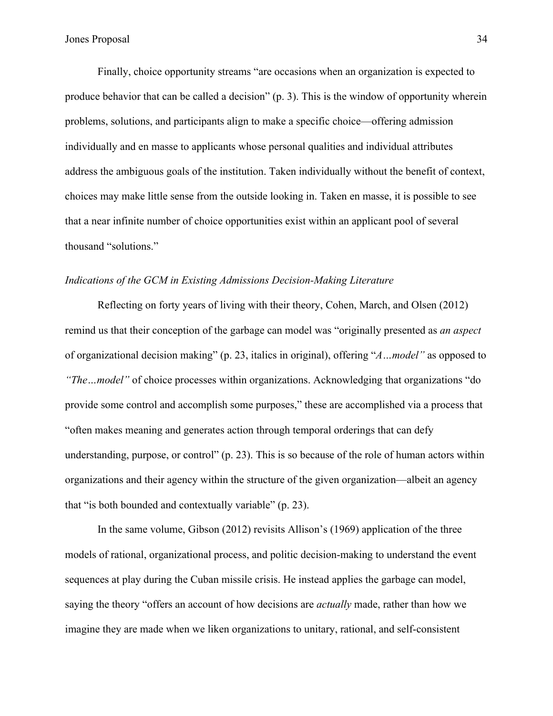Finally, choice opportunity streams "are occasions when an organization is expected to produce behavior that can be called a decision" (p. 3). This is the window of opportunity wherein problems, solutions, and participants align to make a specific choice—offering admission individually and en masse to applicants whose personal qualities and individual attributes address the ambiguous goals of the institution. Taken individually without the benefit of context, choices may make little sense from the outside looking in. Taken en masse, it is possible to see that a near infinite number of choice opportunities exist within an applicant pool of several thousand "solutions."

## *Indications of the GCM in Existing Admissions Decision-Making Literature*

Reflecting on forty years of living with their theory, Cohen, March, and Olsen (2012) remind us that their conception of the garbage can model was "originally presented as *an aspect*  of organizational decision making" (p. 23, italics in original), offering "*A…model"* as opposed to *"The…model"* of choice processes within organizations. Acknowledging that organizations "do provide some control and accomplish some purposes," these are accomplished via a process that "often makes meaning and generates action through temporal orderings that can defy understanding, purpose, or control" (p. 23). This is so because of the role of human actors within organizations and their agency within the structure of the given organization—albeit an agency that "is both bounded and contextually variable" (p. 23).

In the same volume, Gibson (2012) revisits Allison's (1969) application of the three models of rational, organizational process, and politic decision-making to understand the event sequences at play during the Cuban missile crisis. He instead applies the garbage can model, saying the theory "offers an account of how decisions are *actually* made, rather than how we imagine they are made when we liken organizations to unitary, rational, and self-consistent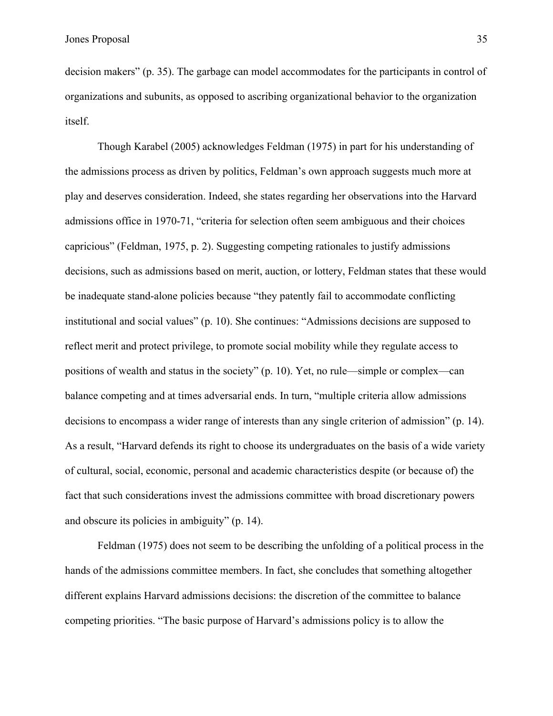decision makers" (p. 35). The garbage can model accommodates for the participants in control of organizations and subunits, as opposed to ascribing organizational behavior to the organization itself.

Though Karabel (2005) acknowledges Feldman (1975) in part for his understanding of the admissions process as driven by politics, Feldman's own approach suggests much more at play and deserves consideration. Indeed, she states regarding her observations into the Harvard admissions office in 1970-71, "criteria for selection often seem ambiguous and their choices capricious" (Feldman, 1975, p. 2). Suggesting competing rationales to justify admissions decisions, such as admissions based on merit, auction, or lottery, Feldman states that these would be inadequate stand-alone policies because "they patently fail to accommodate conflicting institutional and social values" (p. 10). She continues: "Admissions decisions are supposed to reflect merit and protect privilege, to promote social mobility while they regulate access to positions of wealth and status in the society" (p. 10). Yet, no rule—simple or complex—can balance competing and at times adversarial ends. In turn, "multiple criteria allow admissions decisions to encompass a wider range of interests than any single criterion of admission" (p. 14). As a result, "Harvard defends its right to choose its undergraduates on the basis of a wide variety of cultural, social, economic, personal and academic characteristics despite (or because of) the fact that such considerations invest the admissions committee with broad discretionary powers and obscure its policies in ambiguity" (p. 14).

Feldman (1975) does not seem to be describing the unfolding of a political process in the hands of the admissions committee members. In fact, she concludes that something altogether different explains Harvard admissions decisions: the discretion of the committee to balance competing priorities. "The basic purpose of Harvard's admissions policy is to allow the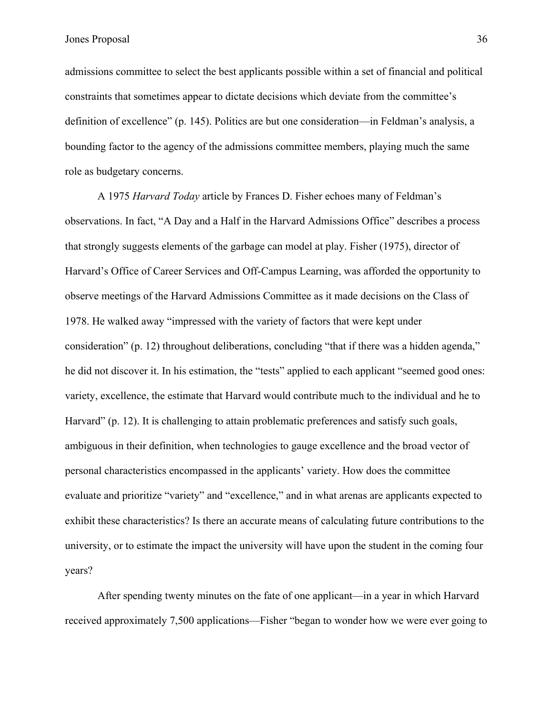admissions committee to select the best applicants possible within a set of financial and political constraints that sometimes appear to dictate decisions which deviate from the committee's definition of excellence" (p. 145). Politics are but one consideration—in Feldman's analysis, a bounding factor to the agency of the admissions committee members, playing much the same role as budgetary concerns.

A 1975 *Harvard Today* article by Frances D. Fisher echoes many of Feldman's observations. In fact, "A Day and a Half in the Harvard Admissions Office" describes a process that strongly suggests elements of the garbage can model at play. Fisher (1975), director of Harvard's Office of Career Services and Off-Campus Learning, was afforded the opportunity to observe meetings of the Harvard Admissions Committee as it made decisions on the Class of 1978. He walked away "impressed with the variety of factors that were kept under consideration" (p. 12) throughout deliberations, concluding "that if there was a hidden agenda," he did not discover it. In his estimation, the "tests" applied to each applicant "seemed good ones: variety, excellence, the estimate that Harvard would contribute much to the individual and he to Harvard" (p. 12). It is challenging to attain problematic preferences and satisfy such goals, ambiguous in their definition, when technologies to gauge excellence and the broad vector of personal characteristics encompassed in the applicants' variety. How does the committee evaluate and prioritize "variety" and "excellence," and in what arenas are applicants expected to exhibit these characteristics? Is there an accurate means of calculating future contributions to the university, or to estimate the impact the university will have upon the student in the coming four years?

After spending twenty minutes on the fate of one applicant—in a year in which Harvard received approximately 7,500 applications—Fisher "began to wonder how we were ever going to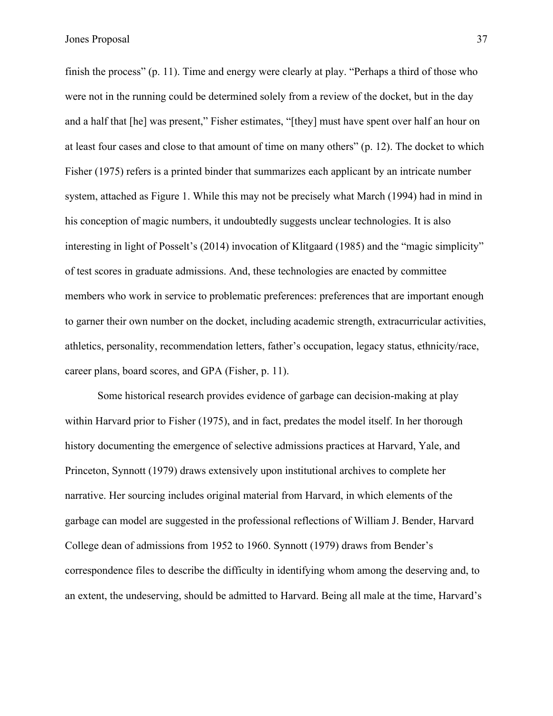finish the process" (p. 11). Time and energy were clearly at play. "Perhaps a third of those who were not in the running could be determined solely from a review of the docket, but in the day and a half that [he] was present," Fisher estimates, "[they] must have spent over half an hour on at least four cases and close to that amount of time on many others" (p. 12). The docket to which Fisher (1975) refers is a printed binder that summarizes each applicant by an intricate number system, attached as Figure 1. While this may not be precisely what March (1994) had in mind in his conception of magic numbers, it undoubtedly suggests unclear technologies. It is also interesting in light of Posselt's (2014) invocation of Klitgaard (1985) and the "magic simplicity" of test scores in graduate admissions. And, these technologies are enacted by committee members who work in service to problematic preferences: preferences that are important enough to garner their own number on the docket, including academic strength, extracurricular activities, athletics, personality, recommendation letters, father's occupation, legacy status, ethnicity/race, career plans, board scores, and GPA (Fisher, p. 11).

Some historical research provides evidence of garbage can decision-making at play within Harvard prior to Fisher (1975), and in fact, predates the model itself. In her thorough history documenting the emergence of selective admissions practices at Harvard, Yale, and Princeton, Synnott (1979) draws extensively upon institutional archives to complete her narrative. Her sourcing includes original material from Harvard, in which elements of the garbage can model are suggested in the professional reflections of William J. Bender, Harvard College dean of admissions from 1952 to 1960. Synnott (1979) draws from Bender's correspondence files to describe the difficulty in identifying whom among the deserving and, to an extent, the undeserving, should be admitted to Harvard. Being all male at the time, Harvard's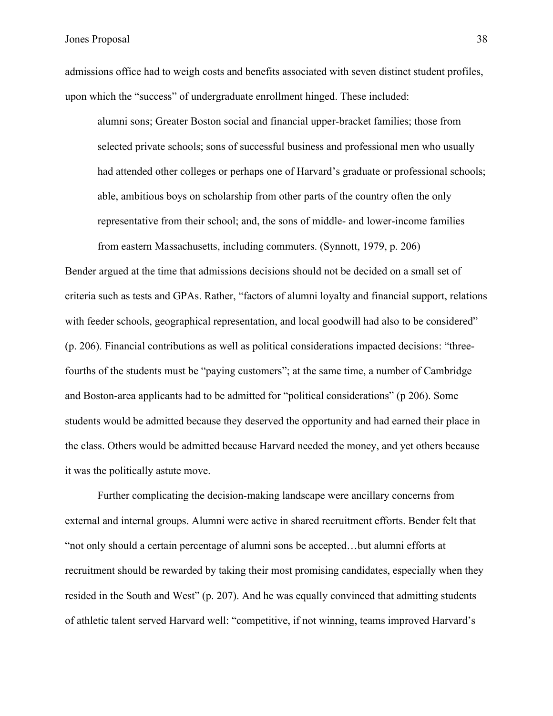admissions office had to weigh costs and benefits associated with seven distinct student profiles, upon which the "success" of undergraduate enrollment hinged. These included:

alumni sons; Greater Boston social and financial upper-bracket families; those from selected private schools; sons of successful business and professional men who usually had attended other colleges or perhaps one of Harvard's graduate or professional schools; able, ambitious boys on scholarship from other parts of the country often the only representative from their school; and, the sons of middle- and lower-income families

Bender argued at the time that admissions decisions should not be decided on a small set of criteria such as tests and GPAs. Rather, "factors of alumni loyalty and financial support, relations with feeder schools, geographical representation, and local goodwill had also to be considered" (p. 206). Financial contributions as well as political considerations impacted decisions: "threefourths of the students must be "paying customers"; at the same time, a number of Cambridge and Boston-area applicants had to be admitted for "political considerations" (p 206). Some students would be admitted because they deserved the opportunity and had earned their place in the class. Others would be admitted because Harvard needed the money, and yet others because it was the politically astute move.

from eastern Massachusetts, including commuters. (Synnott, 1979, p. 206)

Further complicating the decision-making landscape were ancillary concerns from external and internal groups. Alumni were active in shared recruitment efforts. Bender felt that "not only should a certain percentage of alumni sons be accepted…but alumni efforts at recruitment should be rewarded by taking their most promising candidates, especially when they resided in the South and West" (p. 207). And he was equally convinced that admitting students of athletic talent served Harvard well: "competitive, if not winning, teams improved Harvard's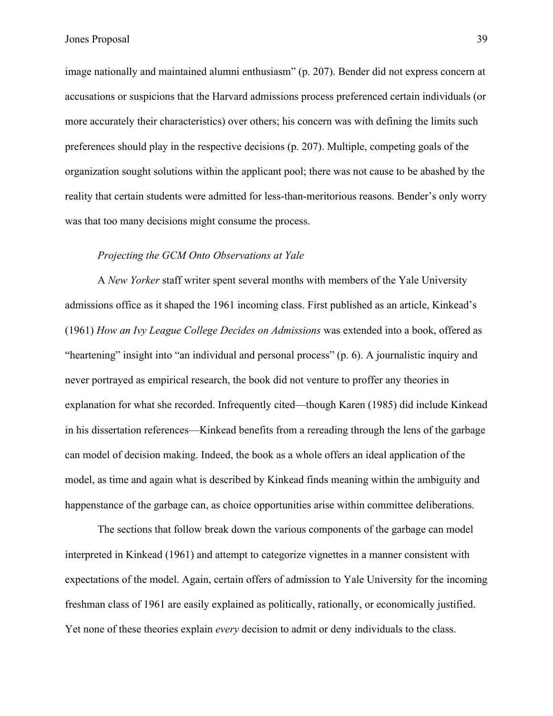image nationally and maintained alumni enthusiasm" (p. 207). Bender did not express concern at accusations or suspicions that the Harvard admissions process preferenced certain individuals (or more accurately their characteristics) over others; his concern was with defining the limits such preferences should play in the respective decisions (p. 207). Multiple, competing goals of the organization sought solutions within the applicant pool; there was not cause to be abashed by the reality that certain students were admitted for less-than-meritorious reasons. Bender's only worry was that too many decisions might consume the process.

# *Projecting the GCM Onto Observations at Yale*

A *New Yorker* staff writer spent several months with members of the Yale University admissions office as it shaped the 1961 incoming class. First published as an article, Kinkead's (1961) *How an Ivy League College Decides on Admissions* was extended into a book, offered as "heartening" insight into "an individual and personal process" (p. 6). A journalistic inquiry and never portrayed as empirical research, the book did not venture to proffer any theories in explanation for what she recorded. Infrequently cited—though Karen (1985) did include Kinkead in his dissertation references—Kinkead benefits from a rereading through the lens of the garbage can model of decision making. Indeed, the book as a whole offers an ideal application of the model, as time and again what is described by Kinkead finds meaning within the ambiguity and happenstance of the garbage can, as choice opportunities arise within committee deliberations.

The sections that follow break down the various components of the garbage can model interpreted in Kinkead (1961) and attempt to categorize vignettes in a manner consistent with expectations of the model. Again, certain offers of admission to Yale University for the incoming freshman class of 1961 are easily explained as politically, rationally, or economically justified. Yet none of these theories explain *every* decision to admit or deny individuals to the class.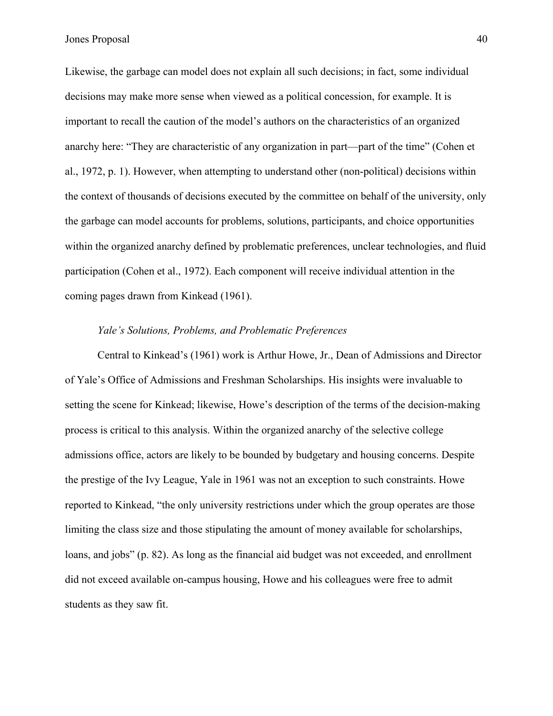Likewise, the garbage can model does not explain all such decisions; in fact, some individual decisions may make more sense when viewed as a political concession, for example. It is important to recall the caution of the model's authors on the characteristics of an organized anarchy here: "They are characteristic of any organization in part—part of the time" (Cohen et al., 1972, p. 1). However, when attempting to understand other (non-political) decisions within the context of thousands of decisions executed by the committee on behalf of the university, only the garbage can model accounts for problems, solutions, participants, and choice opportunities within the organized anarchy defined by problematic preferences, unclear technologies, and fluid participation (Cohen et al., 1972). Each component will receive individual attention in the coming pages drawn from Kinkead (1961).

# *Yale's Solutions, Problems, and Problematic Preferences*

Central to Kinkead's (1961) work is Arthur Howe, Jr., Dean of Admissions and Director of Yale's Office of Admissions and Freshman Scholarships. His insights were invaluable to setting the scene for Kinkead; likewise, Howe's description of the terms of the decision-making process is critical to this analysis. Within the organized anarchy of the selective college admissions office, actors are likely to be bounded by budgetary and housing concerns. Despite the prestige of the Ivy League, Yale in 1961 was not an exception to such constraints. Howe reported to Kinkead, "the only university restrictions under which the group operates are those limiting the class size and those stipulating the amount of money available for scholarships, loans, and jobs" (p. 82). As long as the financial aid budget was not exceeded, and enrollment did not exceed available on-campus housing, Howe and his colleagues were free to admit students as they saw fit.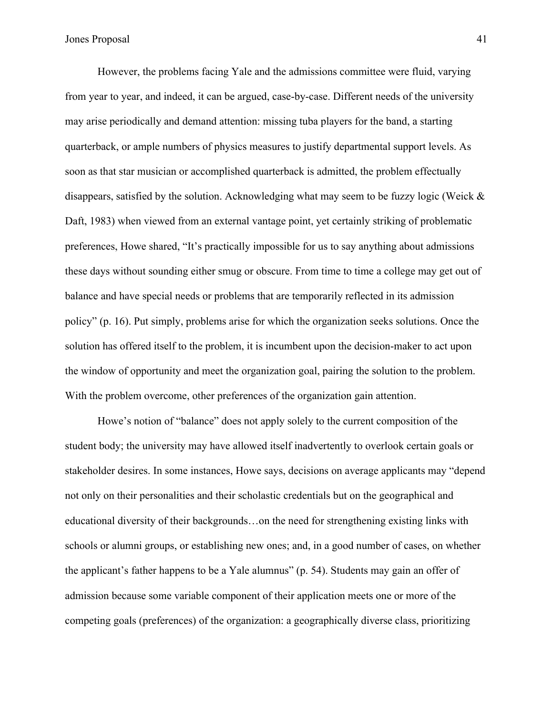However, the problems facing Yale and the admissions committee were fluid, varying from year to year, and indeed, it can be argued, case-by-case. Different needs of the university may arise periodically and demand attention: missing tuba players for the band, a starting quarterback, or ample numbers of physics measures to justify departmental support levels. As soon as that star musician or accomplished quarterback is admitted, the problem effectually disappears, satisfied by the solution. Acknowledging what may seem to be fuzzy logic (Weick & Daft, 1983) when viewed from an external vantage point, yet certainly striking of problematic preferences, Howe shared, "It's practically impossible for us to say anything about admissions these days without sounding either smug or obscure. From time to time a college may get out of balance and have special needs or problems that are temporarily reflected in its admission policy" (p. 16). Put simply, problems arise for which the organization seeks solutions. Once the solution has offered itself to the problem, it is incumbent upon the decision-maker to act upon the window of opportunity and meet the organization goal, pairing the solution to the problem. With the problem overcome, other preferences of the organization gain attention.

Howe's notion of "balance" does not apply solely to the current composition of the student body; the university may have allowed itself inadvertently to overlook certain goals or stakeholder desires. In some instances, Howe says, decisions on average applicants may "depend not only on their personalities and their scholastic credentials but on the geographical and educational diversity of their backgrounds…on the need for strengthening existing links with schools or alumni groups, or establishing new ones; and, in a good number of cases, on whether the applicant's father happens to be a Yale alumnus" (p. 54). Students may gain an offer of admission because some variable component of their application meets one or more of the competing goals (preferences) of the organization: a geographically diverse class, prioritizing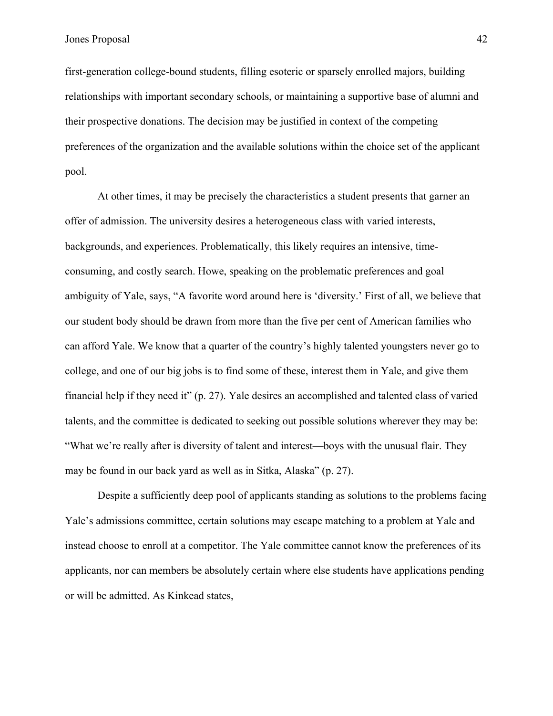first-generation college-bound students, filling esoteric or sparsely enrolled majors, building relationships with important secondary schools, or maintaining a supportive base of alumni and their prospective donations. The decision may be justified in context of the competing preferences of the organization and the available solutions within the choice set of the applicant pool.

At other times, it may be precisely the characteristics a student presents that garner an offer of admission. The university desires a heterogeneous class with varied interests, backgrounds, and experiences. Problematically, this likely requires an intensive, timeconsuming, and costly search. Howe, speaking on the problematic preferences and goal ambiguity of Yale, says, "A favorite word around here is 'diversity.' First of all, we believe that our student body should be drawn from more than the five per cent of American families who can afford Yale. We know that a quarter of the country's highly talented youngsters never go to college, and one of our big jobs is to find some of these, interest them in Yale, and give them financial help if they need it" (p. 27). Yale desires an accomplished and talented class of varied talents, and the committee is dedicated to seeking out possible solutions wherever they may be: "What we're really after is diversity of talent and interest—boys with the unusual flair. They may be found in our back yard as well as in Sitka, Alaska" (p. 27).

Despite a sufficiently deep pool of applicants standing as solutions to the problems facing Yale's admissions committee, certain solutions may escape matching to a problem at Yale and instead choose to enroll at a competitor. The Yale committee cannot know the preferences of its applicants, nor can members be absolutely certain where else students have applications pending or will be admitted. As Kinkead states,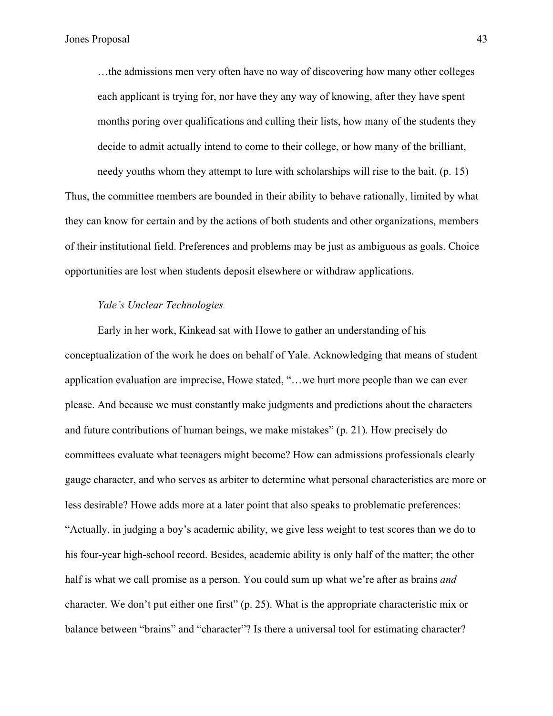…the admissions men very often have no way of discovering how many other colleges each applicant is trying for, nor have they any way of knowing, after they have spent months poring over qualifications and culling their lists, how many of the students they decide to admit actually intend to come to their college, or how many of the brilliant,

needy youths whom they attempt to lure with scholarships will rise to the bait. (p. 15) Thus, the committee members are bounded in their ability to behave rationally, limited by what they can know for certain and by the actions of both students and other organizations, members of their institutional field. Preferences and problems may be just as ambiguous as goals. Choice opportunities are lost when students deposit elsewhere or withdraw applications.

# *Yale's Unclear Technologies*

Early in her work, Kinkead sat with Howe to gather an understanding of his conceptualization of the work he does on behalf of Yale. Acknowledging that means of student application evaluation are imprecise, Howe stated, "…we hurt more people than we can ever please. And because we must constantly make judgments and predictions about the characters and future contributions of human beings, we make mistakes" (p. 21). How precisely do committees evaluate what teenagers might become? How can admissions professionals clearly gauge character, and who serves as arbiter to determine what personal characteristics are more or less desirable? Howe adds more at a later point that also speaks to problematic preferences: "Actually, in judging a boy's academic ability, we give less weight to test scores than we do to his four-year high-school record. Besides, academic ability is only half of the matter; the other half is what we call promise as a person. You could sum up what we're after as brains *and*  character. We don't put either one first" (p. 25). What is the appropriate characteristic mix or balance between "brains" and "character"? Is there a universal tool for estimating character?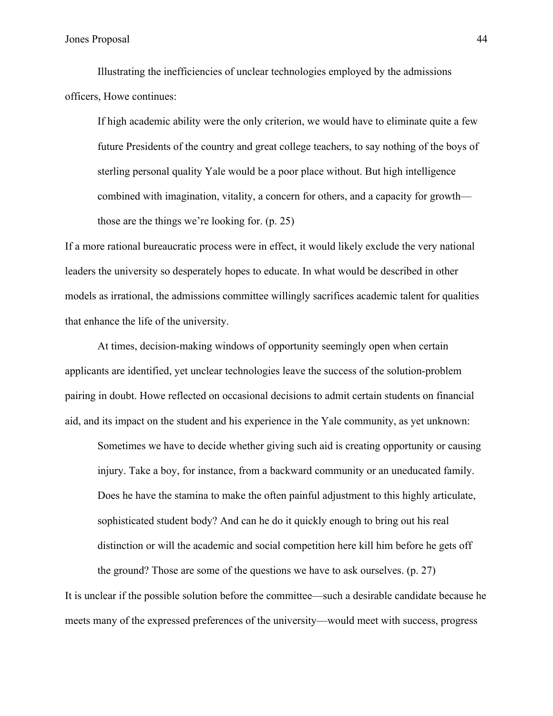Illustrating the inefficiencies of unclear technologies employed by the admissions officers, Howe continues:

If high academic ability were the only criterion, we would have to eliminate quite a few future Presidents of the country and great college teachers, to say nothing of the boys of sterling personal quality Yale would be a poor place without. But high intelligence combined with imagination, vitality, a concern for others, and a capacity for growth those are the things we're looking for. (p. 25)

If a more rational bureaucratic process were in effect, it would likely exclude the very national leaders the university so desperately hopes to educate. In what would be described in other models as irrational, the admissions committee willingly sacrifices academic talent for qualities that enhance the life of the university.

At times, decision-making windows of opportunity seemingly open when certain applicants are identified, yet unclear technologies leave the success of the solution-problem pairing in doubt. Howe reflected on occasional decisions to admit certain students on financial aid, and its impact on the student and his experience in the Yale community, as yet unknown:

Sometimes we have to decide whether giving such aid is creating opportunity or causing injury. Take a boy, for instance, from a backward community or an uneducated family. Does he have the stamina to make the often painful adjustment to this highly articulate, sophisticated student body? And can he do it quickly enough to bring out his real distinction or will the academic and social competition here kill him before he gets off

the ground? Those are some of the questions we have to ask ourselves. (p. 27) It is unclear if the possible solution before the committee—such a desirable candidate because he meets many of the expressed preferences of the university—would meet with success, progress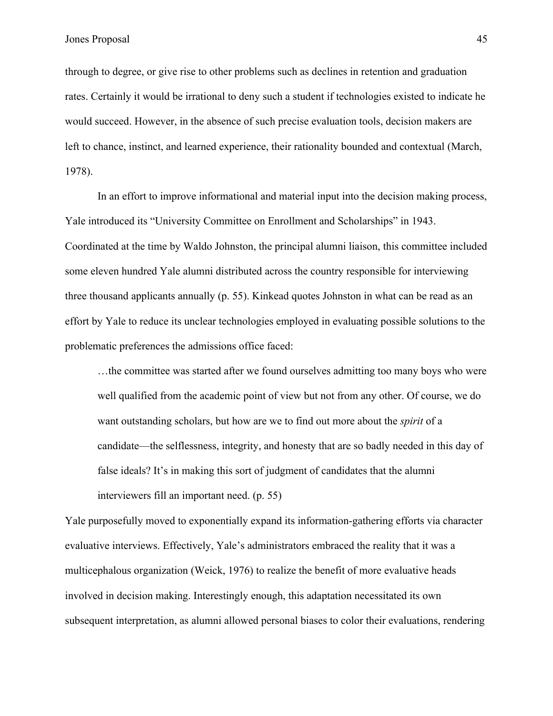through to degree, or give rise to other problems such as declines in retention and graduation rates. Certainly it would be irrational to deny such a student if technologies existed to indicate he would succeed. However, in the absence of such precise evaluation tools, decision makers are left to chance, instinct, and learned experience, their rationality bounded and contextual (March, 1978).

In an effort to improve informational and material input into the decision making process, Yale introduced its "University Committee on Enrollment and Scholarships" in 1943. Coordinated at the time by Waldo Johnston, the principal alumni liaison, this committee included some eleven hundred Yale alumni distributed across the country responsible for interviewing three thousand applicants annually (p. 55). Kinkead quotes Johnston in what can be read as an effort by Yale to reduce its unclear technologies employed in evaluating possible solutions to the problematic preferences the admissions office faced:

…the committee was started after we found ourselves admitting too many boys who were well qualified from the academic point of view but not from any other. Of course, we do want outstanding scholars, but how are we to find out more about the *spirit* of a candidate—the selflessness, integrity, and honesty that are so badly needed in this day of false ideals? It's in making this sort of judgment of candidates that the alumni interviewers fill an important need. (p. 55)

Yale purposefully moved to exponentially expand its information-gathering efforts via character evaluative interviews. Effectively, Yale's administrators embraced the reality that it was a multicephalous organization (Weick, 1976) to realize the benefit of more evaluative heads involved in decision making. Interestingly enough, this adaptation necessitated its own subsequent interpretation, as alumni allowed personal biases to color their evaluations, rendering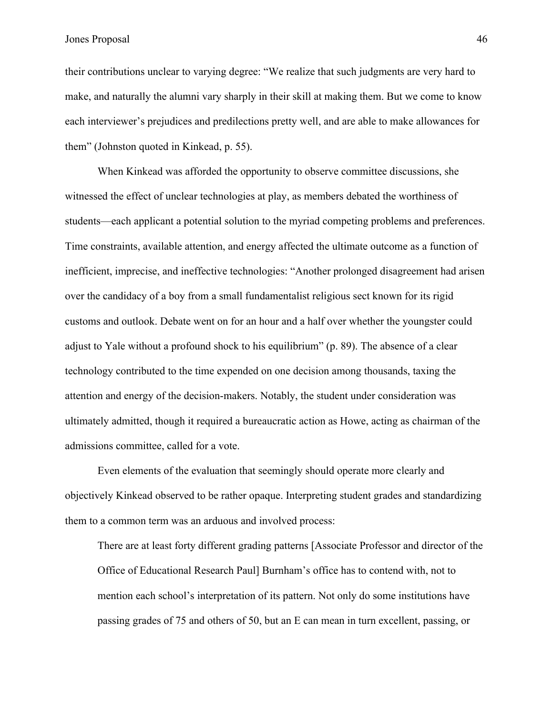their contributions unclear to varying degree: "We realize that such judgments are very hard to make, and naturally the alumni vary sharply in their skill at making them. But we come to know each interviewer's prejudices and predilections pretty well, and are able to make allowances for them" (Johnston quoted in Kinkead, p. 55).

When Kinkead was afforded the opportunity to observe committee discussions, she witnessed the effect of unclear technologies at play, as members debated the worthiness of students—each applicant a potential solution to the myriad competing problems and preferences. Time constraints, available attention, and energy affected the ultimate outcome as a function of inefficient, imprecise, and ineffective technologies: "Another prolonged disagreement had arisen over the candidacy of a boy from a small fundamentalist religious sect known for its rigid customs and outlook. Debate went on for an hour and a half over whether the youngster could adjust to Yale without a profound shock to his equilibrium" (p. 89). The absence of a clear technology contributed to the time expended on one decision among thousands, taxing the attention and energy of the decision-makers. Notably, the student under consideration was ultimately admitted, though it required a bureaucratic action as Howe, acting as chairman of the admissions committee, called for a vote.

Even elements of the evaluation that seemingly should operate more clearly and objectively Kinkead observed to be rather opaque. Interpreting student grades and standardizing them to a common term was an arduous and involved process:

There are at least forty different grading patterns [Associate Professor and director of the Office of Educational Research Paul] Burnham's office has to contend with, not to mention each school's interpretation of its pattern. Not only do some institutions have passing grades of 75 and others of 50, but an E can mean in turn excellent, passing, or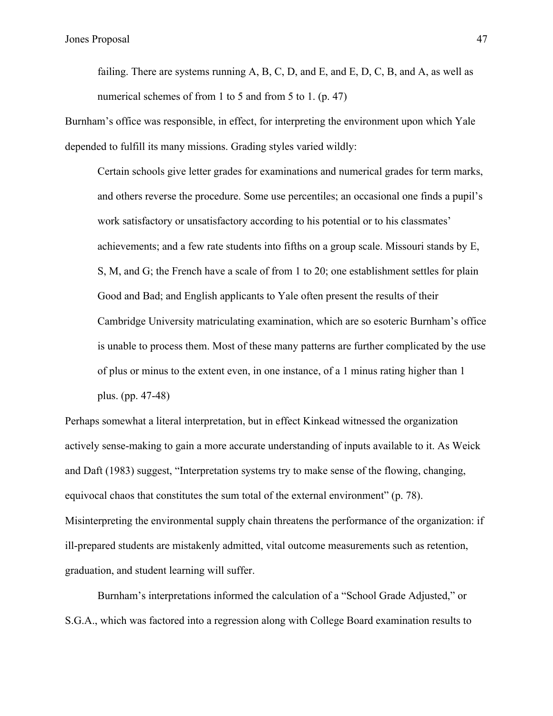failing. There are systems running  $A$ ,  $B$ ,  $C$ ,  $D$ , and  $E$ , and  $E$ ,  $D$ ,  $C$ ,  $B$ , and  $A$ , as well as numerical schemes of from 1 to 5 and from 5 to 1. (p. 47)

Burnham's office was responsible, in effect, for interpreting the environment upon which Yale depended to fulfill its many missions. Grading styles varied wildly:

Certain schools give letter grades for examinations and numerical grades for term marks, and others reverse the procedure. Some use percentiles; an occasional one finds a pupil's work satisfactory or unsatisfactory according to his potential or to his classmates' achievements; and a few rate students into fifths on a group scale. Missouri stands by E, S, M, and G; the French have a scale of from 1 to 20; one establishment settles for plain Good and Bad; and English applicants to Yale often present the results of their Cambridge University matriculating examination, which are so esoteric Burnham's office is unable to process them. Most of these many patterns are further complicated by the use of plus or minus to the extent even, in one instance, of a 1 minus rating higher than 1 plus. (pp. 47-48)

Perhaps somewhat a literal interpretation, but in effect Kinkead witnessed the organization actively sense-making to gain a more accurate understanding of inputs available to it. As Weick and Daft (1983) suggest, "Interpretation systems try to make sense of the flowing, changing, equivocal chaos that constitutes the sum total of the external environment" (p. 78). Misinterpreting the environmental supply chain threatens the performance of the organization: if ill-prepared students are mistakenly admitted, vital outcome measurements such as retention, graduation, and student learning will suffer.

Burnham's interpretations informed the calculation of a "School Grade Adjusted," or S.G.A., which was factored into a regression along with College Board examination results to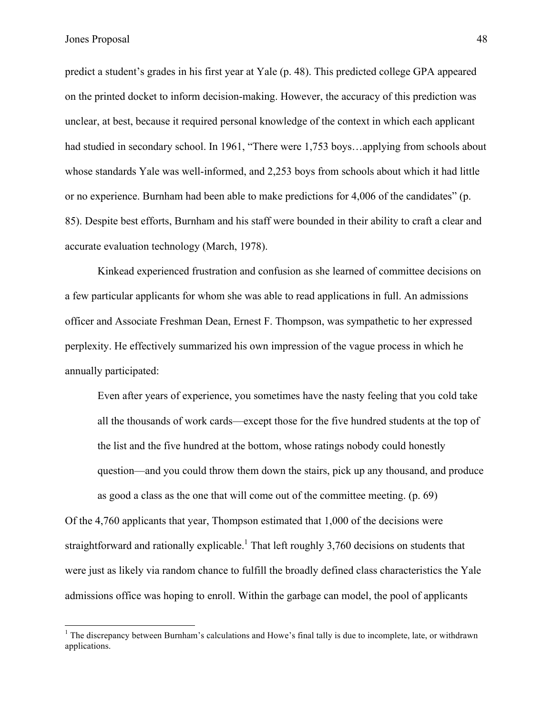predict a student's grades in his first year at Yale (p. 48). This predicted college GPA appeared on the printed docket to inform decision-making. However, the accuracy of this prediction was unclear, at best, because it required personal knowledge of the context in which each applicant had studied in secondary school. In 1961, "There were 1,753 boys...applying from schools about whose standards Yale was well-informed, and 2,253 boys from schools about which it had little or no experience. Burnham had been able to make predictions for 4,006 of the candidates" (p. 85). Despite best efforts, Burnham and his staff were bounded in their ability to craft a clear and accurate evaluation technology (March, 1978).

Kinkead experienced frustration and confusion as she learned of committee decisions on a few particular applicants for whom she was able to read applications in full. An admissions officer and Associate Freshman Dean, Ernest F. Thompson, was sympathetic to her expressed perplexity. He effectively summarized his own impression of the vague process in which he annually participated:

Even after years of experience, you sometimes have the nasty feeling that you cold take all the thousands of work cards—except those for the five hundred students at the top of the list and the five hundred at the bottom, whose ratings nobody could honestly question—and you could throw them down the stairs, pick up any thousand, and produce as good a class as the one that will come out of the committee meeting. (p. 69)

Of the 4,760 applicants that year, Thompson estimated that 1,000 of the decisions were straightforward and rationally explicable.<sup>1</sup> That left roughly 3,760 decisions on students that were just as likely via random chance to fulfill the broadly defined class characteristics the Yale admissions office was hoping to enroll. Within the garbage can model, the pool of applicants

<sup>&</sup>lt;sup>1</sup> The discrepancy between Burnham's calculations and Howe's final tally is due to incomplete, late, or withdrawn applications.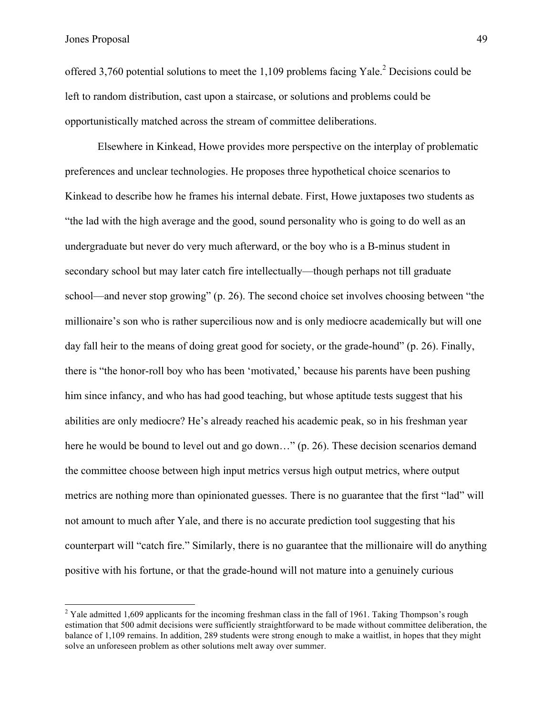offered 3.760 potential solutions to meet the 1.109 problems facing Yale.<sup>2</sup> Decisions could be left to random distribution, cast upon a staircase, or solutions and problems could be opportunistically matched across the stream of committee deliberations.

Elsewhere in Kinkead, Howe provides more perspective on the interplay of problematic preferences and unclear technologies. He proposes three hypothetical choice scenarios to Kinkead to describe how he frames his internal debate. First, Howe juxtaposes two students as "the lad with the high average and the good, sound personality who is going to do well as an undergraduate but never do very much afterward, or the boy who is a B-minus student in secondary school but may later catch fire intellectually—though perhaps not till graduate school—and never stop growing" (p. 26). The second choice set involves choosing between "the millionaire's son who is rather supercilious now and is only mediocre academically but will one day fall heir to the means of doing great good for society, or the grade-hound" (p. 26). Finally, there is "the honor-roll boy who has been 'motivated,' because his parents have been pushing him since infancy, and who has had good teaching, but whose aptitude tests suggest that his abilities are only mediocre? He's already reached his academic peak, so in his freshman year here he would be bound to level out and go down..." (p. 26). These decision scenarios demand the committee choose between high input metrics versus high output metrics, where output metrics are nothing more than opinionated guesses. There is no guarantee that the first "lad" will not amount to much after Yale, and there is no accurate prediction tool suggesting that his counterpart will "catch fire." Similarly, there is no guarantee that the millionaire will do anything positive with his fortune, or that the grade-hound will not mature into a genuinely curious

 $2$  Yale admitted 1,609 applicants for the incoming freshman class in the fall of 1961. Taking Thompson's rough estimation that 500 admit decisions were sufficiently straightforward to be made without committee deliberation, the balance of 1,109 remains. In addition, 289 students were strong enough to make a waitlist, in hopes that they might solve an unforeseen problem as other solutions melt away over summer.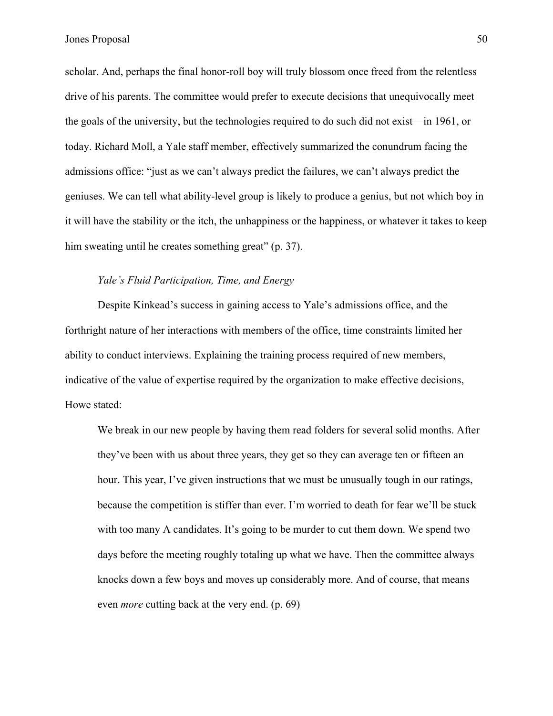scholar. And, perhaps the final honor-roll boy will truly blossom once freed from the relentless drive of his parents. The committee would prefer to execute decisions that unequivocally meet the goals of the university, but the technologies required to do such did not exist—in 1961, or today. Richard Moll, a Yale staff member, effectively summarized the conundrum facing the admissions office: "just as we can't always predict the failures, we can't always predict the geniuses. We can tell what ability-level group is likely to produce a genius, but not which boy in it will have the stability or the itch, the unhappiness or the happiness, or whatever it takes to keep him sweating until he creates something great" (p. 37).

# *Yale's Fluid Participation, Time, and Energy*

Despite Kinkead's success in gaining access to Yale's admissions office, and the forthright nature of her interactions with members of the office, time constraints limited her ability to conduct interviews. Explaining the training process required of new members, indicative of the value of expertise required by the organization to make effective decisions, Howe stated:

We break in our new people by having them read folders for several solid months. After they've been with us about three years, they get so they can average ten or fifteen an hour. This year, I've given instructions that we must be unusually tough in our ratings, because the competition is stiffer than ever. I'm worried to death for fear we'll be stuck with too many A candidates. It's going to be murder to cut them down. We spend two days before the meeting roughly totaling up what we have. Then the committee always knocks down a few boys and moves up considerably more. And of course, that means even *more* cutting back at the very end. (p. 69)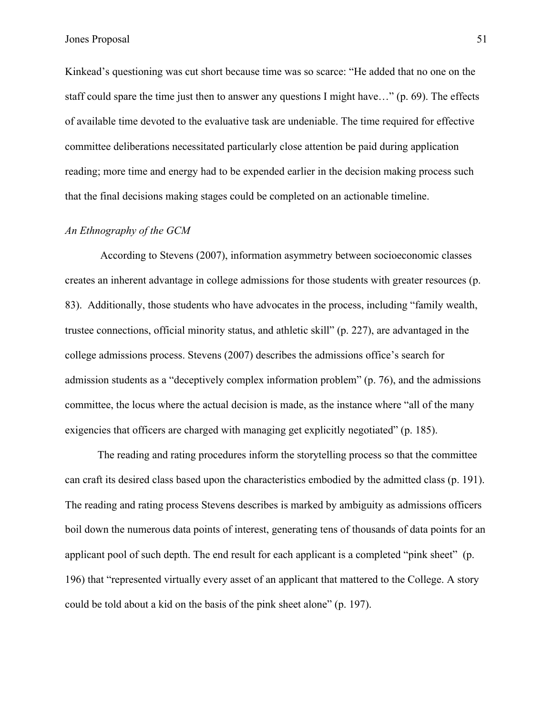Kinkead's questioning was cut short because time was so scarce: "He added that no one on the staff could spare the time just then to answer any questions I might have…" (p. 69). The effects of available time devoted to the evaluative task are undeniable. The time required for effective committee deliberations necessitated particularly close attention be paid during application reading; more time and energy had to be expended earlier in the decision making process such that the final decisions making stages could be completed on an actionable timeline.

# *An Ethnography of the GCM*

According to Stevens (2007), information asymmetry between socioeconomic classes creates an inherent advantage in college admissions for those students with greater resources (p. 83). Additionally, those students who have advocates in the process, including "family wealth, trustee connections, official minority status, and athletic skill" (p. 227), are advantaged in the college admissions process. Stevens (2007) describes the admissions office's search for admission students as a "deceptively complex information problem" (p. 76), and the admissions committee, the locus where the actual decision is made, as the instance where "all of the many exigencies that officers are charged with managing get explicitly negotiated" (p. 185).

The reading and rating procedures inform the storytelling process so that the committee can craft its desired class based upon the characteristics embodied by the admitted class (p. 191). The reading and rating process Stevens describes is marked by ambiguity as admissions officers boil down the numerous data points of interest, generating tens of thousands of data points for an applicant pool of such depth. The end result for each applicant is a completed "pink sheet" (p. 196) that "represented virtually every asset of an applicant that mattered to the College. A story could be told about a kid on the basis of the pink sheet alone" (p. 197).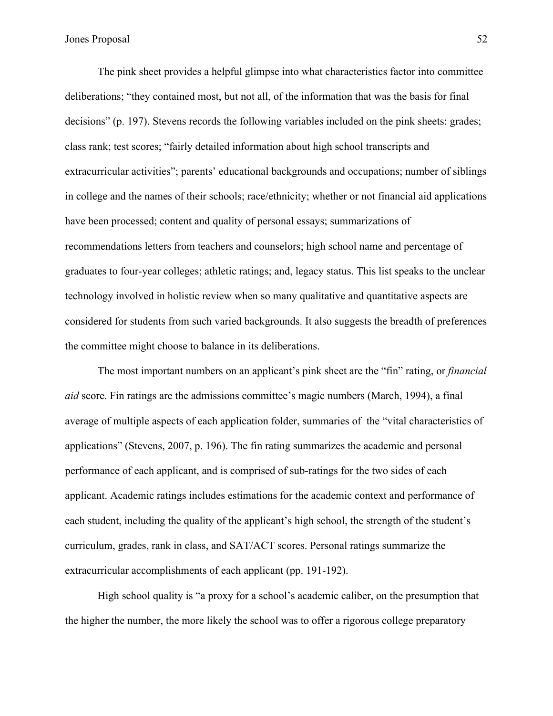The pink sheet provides a helpful glimpse into what characteristics factor into committee deliberations; "they contained most, but not all, of the information that was the basis for final decisions" (p. 197). Stevens records the following variables included on the pink sheets: grades; class rank; test scores; "fairly detailed information about high school transcripts and extracurricular activities"; parents' educational backgrounds and occupations; number of siblings in college and the names of their schools; race/ethnicity; whether or not financial aid applications have been processed; content and quality of personal essays; summarizations of recommendations letters from teachers and counselors; high school name and percentage of graduates to four-year colleges; athletic ratings; and, legacy status. This list speaks to the unclear technology involved in holistic review when so many qualitative and quantitative aspects are considered for students from such varied backgrounds. It also suggests the breadth of preferences the committee might choose to balance in its deliberations.

The most important numbers on an applicant's pink sheet are the "fin" rating, or *financial aid* score. Fin ratings are the admissions committee's magic numbers (March, 1994), a final average of multiple aspects of each application folder, summaries of the "vital characteristics of applications" (Stevens, 2007, p. 196). The fin rating summarizes the academic and personal performance of each applicant, and is comprised of sub-ratings for the two sides of each applicant. Academic ratings includes estimations for the academic context and performance of each student, including the quality of the applicant's high school, the strength of the student's curriculum, grades, rank in class, and SAT/ACT scores. Personal ratings summarize the extracurricular accomplishments of each applicant (pp. 191-192).

High school quality is "a proxy for a school's academic caliber, on the presumption that the higher the number, the more likely the school was to offer a rigorous college preparatory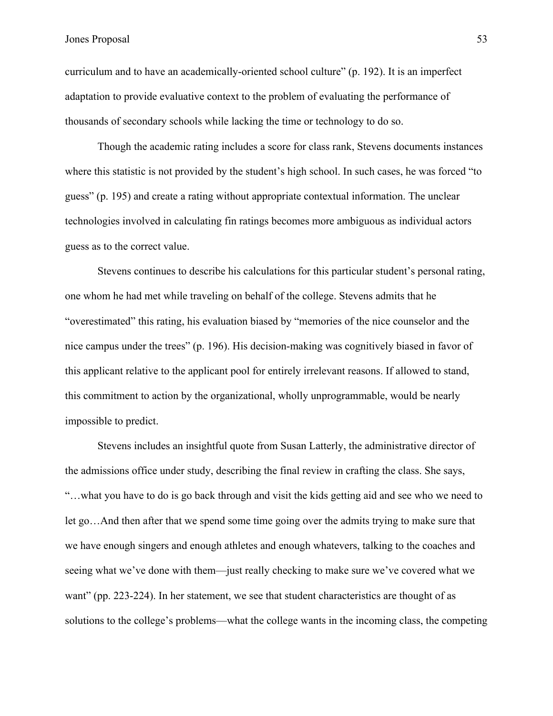curriculum and to have an academically-oriented school culture" (p. 192). It is an imperfect adaptation to provide evaluative context to the problem of evaluating the performance of thousands of secondary schools while lacking the time or technology to do so.

Though the academic rating includes a score for class rank, Stevens documents instances where this statistic is not provided by the student's high school. In such cases, he was forced "to" guess" (p. 195) and create a rating without appropriate contextual information. The unclear technologies involved in calculating fin ratings becomes more ambiguous as individual actors guess as to the correct value.

Stevens continues to describe his calculations for this particular student's personal rating, one whom he had met while traveling on behalf of the college. Stevens admits that he "overestimated" this rating, his evaluation biased by "memories of the nice counselor and the nice campus under the trees" (p. 196). His decision-making was cognitively biased in favor of this applicant relative to the applicant pool for entirely irrelevant reasons. If allowed to stand, this commitment to action by the organizational, wholly unprogrammable, would be nearly impossible to predict.

Stevens includes an insightful quote from Susan Latterly, the administrative director of the admissions office under study, describing the final review in crafting the class. She says, "…what you have to do is go back through and visit the kids getting aid and see who we need to let go…And then after that we spend some time going over the admits trying to make sure that we have enough singers and enough athletes and enough whatevers, talking to the coaches and seeing what we've done with them—just really checking to make sure we've covered what we want" (pp. 223-224). In her statement, we see that student characteristics are thought of as solutions to the college's problems—what the college wants in the incoming class, the competing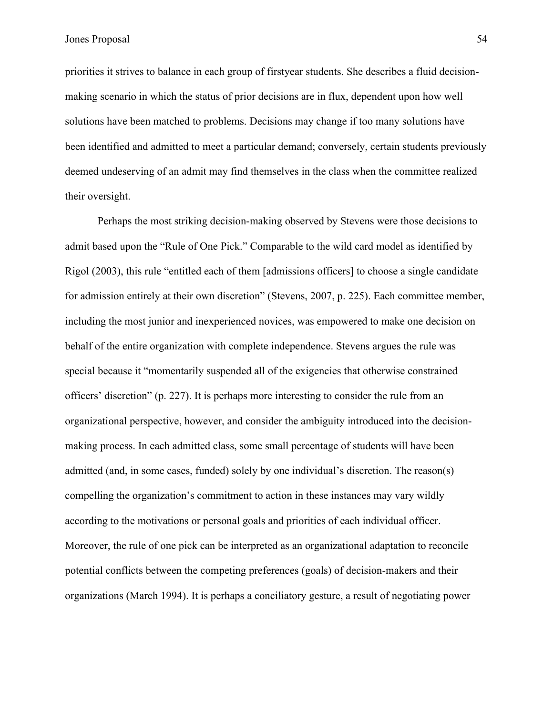priorities it strives to balance in each group of firstyear students. She describes a fluid decisionmaking scenario in which the status of prior decisions are in flux, dependent upon how well solutions have been matched to problems. Decisions may change if too many solutions have been identified and admitted to meet a particular demand; conversely, certain students previously deemed undeserving of an admit may find themselves in the class when the committee realized their oversight.

Perhaps the most striking decision-making observed by Stevens were those decisions to admit based upon the "Rule of One Pick." Comparable to the wild card model as identified by Rigol (2003), this rule "entitled each of them [admissions officers] to choose a single candidate for admission entirely at their own discretion" (Stevens, 2007, p. 225). Each committee member, including the most junior and inexperienced novices, was empowered to make one decision on behalf of the entire organization with complete independence. Stevens argues the rule was special because it "momentarily suspended all of the exigencies that otherwise constrained officers' discretion" (p. 227). It is perhaps more interesting to consider the rule from an organizational perspective, however, and consider the ambiguity introduced into the decisionmaking process. In each admitted class, some small percentage of students will have been admitted (and, in some cases, funded) solely by one individual's discretion. The reason(s) compelling the organization's commitment to action in these instances may vary wildly according to the motivations or personal goals and priorities of each individual officer. Moreover, the rule of one pick can be interpreted as an organizational adaptation to reconcile potential conflicts between the competing preferences (goals) of decision-makers and their organizations (March 1994). It is perhaps a conciliatory gesture, a result of negotiating power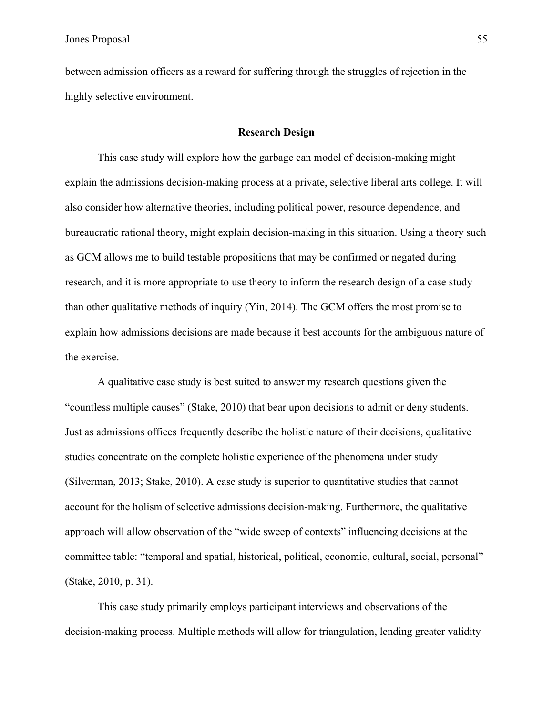between admission officers as a reward for suffering through the struggles of rejection in the highly selective environment.

#### **Research Design**

This case study will explore how the garbage can model of decision-making might explain the admissions decision-making process at a private, selective liberal arts college. It will also consider how alternative theories, including political power, resource dependence, and bureaucratic rational theory, might explain decision-making in this situation. Using a theory such as GCM allows me to build testable propositions that may be confirmed or negated during research, and it is more appropriate to use theory to inform the research design of a case study than other qualitative methods of inquiry (Yin, 2014). The GCM offers the most promise to explain how admissions decisions are made because it best accounts for the ambiguous nature of the exercise.

A qualitative case study is best suited to answer my research questions given the "countless multiple causes" (Stake, 2010) that bear upon decisions to admit or deny students. Just as admissions offices frequently describe the holistic nature of their decisions, qualitative studies concentrate on the complete holistic experience of the phenomena under study (Silverman, 2013; Stake, 2010). A case study is superior to quantitative studies that cannot account for the holism of selective admissions decision-making. Furthermore, the qualitative approach will allow observation of the "wide sweep of contexts" influencing decisions at the committee table: "temporal and spatial, historical, political, economic, cultural, social, personal" (Stake, 2010, p. 31).

This case study primarily employs participant interviews and observations of the decision-making process. Multiple methods will allow for triangulation, lending greater validity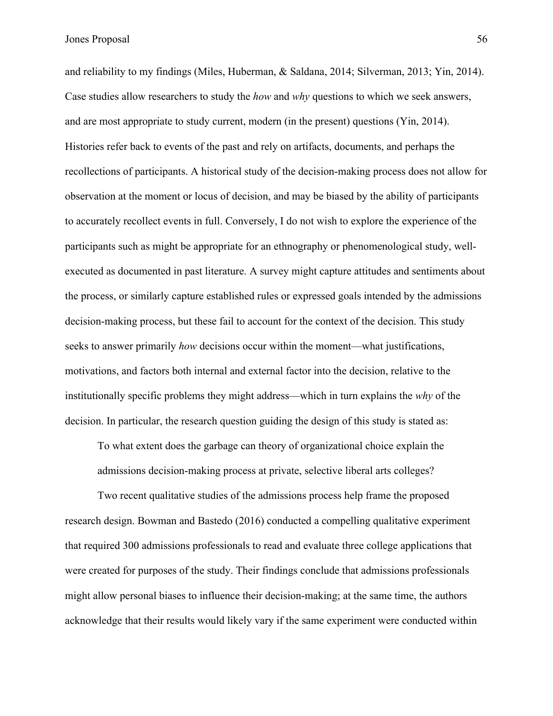and reliability to my findings (Miles, Huberman, & Saldana, 2014; Silverman, 2013; Yin, 2014). Case studies allow researchers to study the *how* and *why* questions to which we seek answers, and are most appropriate to study current, modern (in the present) questions (Yin, 2014). Histories refer back to events of the past and rely on artifacts, documents, and perhaps the recollections of participants. A historical study of the decision-making process does not allow for observation at the moment or locus of decision, and may be biased by the ability of participants to accurately recollect events in full. Conversely, I do not wish to explore the experience of the participants such as might be appropriate for an ethnography or phenomenological study, wellexecuted as documented in past literature. A survey might capture attitudes and sentiments about the process, or similarly capture established rules or expressed goals intended by the admissions decision-making process, but these fail to account for the context of the decision. This study seeks to answer primarily *how* decisions occur within the moment—what justifications, motivations, and factors both internal and external factor into the decision, relative to the institutionally specific problems they might address—which in turn explains the *why* of the decision. In particular, the research question guiding the design of this study is stated as:

To what extent does the garbage can theory of organizational choice explain the admissions decision-making process at private, selective liberal arts colleges?

Two recent qualitative studies of the admissions process help frame the proposed research design. Bowman and Bastedo (2016) conducted a compelling qualitative experiment that required 300 admissions professionals to read and evaluate three college applications that were created for purposes of the study. Their findings conclude that admissions professionals might allow personal biases to influence their decision-making; at the same time, the authors acknowledge that their results would likely vary if the same experiment were conducted within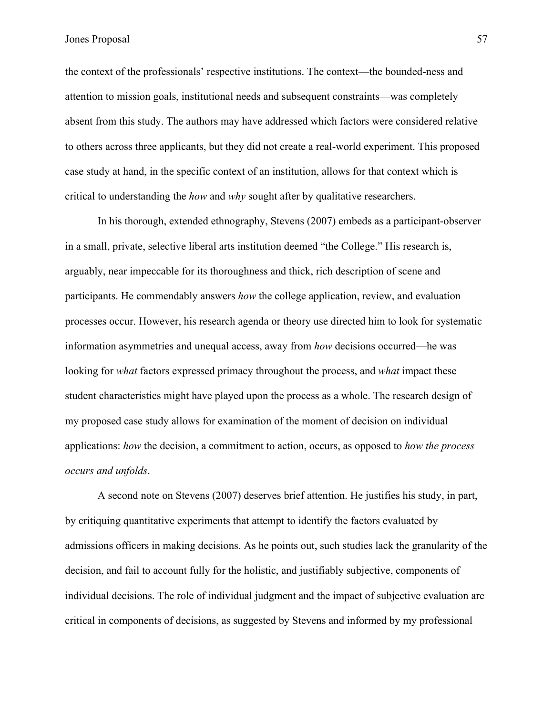the context of the professionals' respective institutions. The context—the bounded-ness and attention to mission goals, institutional needs and subsequent constraints—was completely absent from this study. The authors may have addressed which factors were considered relative to others across three applicants, but they did not create a real-world experiment. This proposed case study at hand, in the specific context of an institution, allows for that context which is critical to understanding the *how* and *why* sought after by qualitative researchers.

In his thorough, extended ethnography, Stevens (2007) embeds as a participant-observer in a small, private, selective liberal arts institution deemed "the College." His research is, arguably, near impeccable for its thoroughness and thick, rich description of scene and participants. He commendably answers *how* the college application, review, and evaluation processes occur. However, his research agenda or theory use directed him to look for systematic information asymmetries and unequal access, away from *how* decisions occurred—he was looking for *what* factors expressed primacy throughout the process, and *what* impact these student characteristics might have played upon the process as a whole. The research design of my proposed case study allows for examination of the moment of decision on individual applications: *how* the decision, a commitment to action, occurs, as opposed to *how the process occurs and unfolds*.

A second note on Stevens (2007) deserves brief attention. He justifies his study, in part, by critiquing quantitative experiments that attempt to identify the factors evaluated by admissions officers in making decisions. As he points out, such studies lack the granularity of the decision, and fail to account fully for the holistic, and justifiably subjective, components of individual decisions. The role of individual judgment and the impact of subjective evaluation are critical in components of decisions, as suggested by Stevens and informed by my professional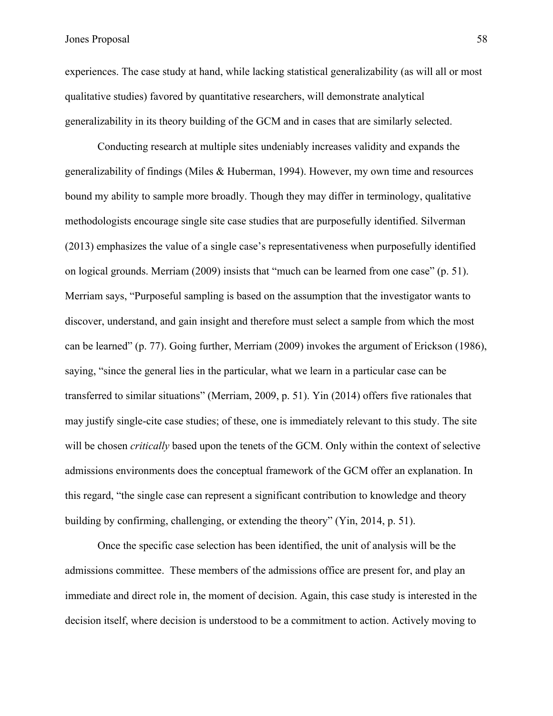experiences. The case study at hand, while lacking statistical generalizability (as will all or most qualitative studies) favored by quantitative researchers, will demonstrate analytical generalizability in its theory building of the GCM and in cases that are similarly selected.

Conducting research at multiple sites undeniably increases validity and expands the generalizability of findings (Miles & Huberman, 1994). However, my own time and resources bound my ability to sample more broadly. Though they may differ in terminology, qualitative methodologists encourage single site case studies that are purposefully identified. Silverman (2013) emphasizes the value of a single case's representativeness when purposefully identified on logical grounds. Merriam (2009) insists that "much can be learned from one case" (p. 51). Merriam says, "Purposeful sampling is based on the assumption that the investigator wants to discover, understand, and gain insight and therefore must select a sample from which the most can be learned" (p. 77). Going further, Merriam (2009) invokes the argument of Erickson (1986), saying, "since the general lies in the particular, what we learn in a particular case can be transferred to similar situations" (Merriam, 2009, p. 51). Yin (2014) offers five rationales that may justify single-cite case studies; of these, one is immediately relevant to this study. The site will be chosen *critically* based upon the tenets of the GCM. Only within the context of selective admissions environments does the conceptual framework of the GCM offer an explanation. In this regard, "the single case can represent a significant contribution to knowledge and theory building by confirming, challenging, or extending the theory" (Yin, 2014, p. 51).

Once the specific case selection has been identified, the unit of analysis will be the admissions committee. These members of the admissions office are present for, and play an immediate and direct role in, the moment of decision. Again, this case study is interested in the decision itself, where decision is understood to be a commitment to action. Actively moving to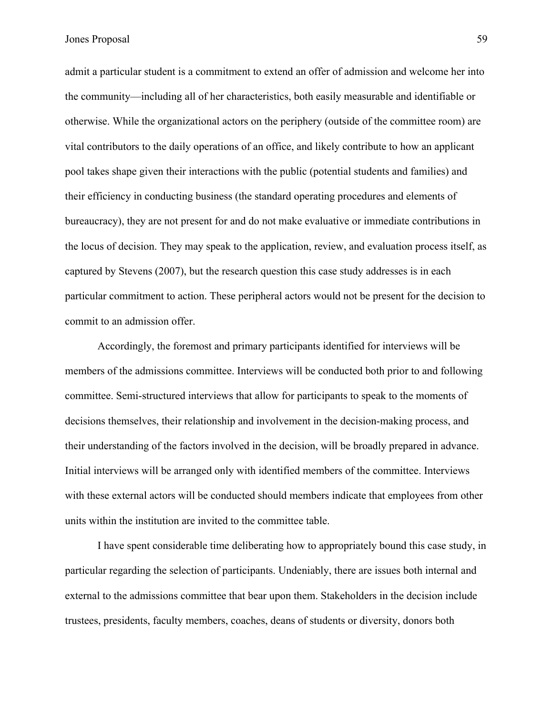admit a particular student is a commitment to extend an offer of admission and welcome her into the community—including all of her characteristics, both easily measurable and identifiable or otherwise. While the organizational actors on the periphery (outside of the committee room) are vital contributors to the daily operations of an office, and likely contribute to how an applicant pool takes shape given their interactions with the public (potential students and families) and their efficiency in conducting business (the standard operating procedures and elements of bureaucracy), they are not present for and do not make evaluative or immediate contributions in the locus of decision. They may speak to the application, review, and evaluation process itself, as captured by Stevens (2007), but the research question this case study addresses is in each particular commitment to action. These peripheral actors would not be present for the decision to commit to an admission offer.

Accordingly, the foremost and primary participants identified for interviews will be members of the admissions committee. Interviews will be conducted both prior to and following committee. Semi-structured interviews that allow for participants to speak to the moments of decisions themselves, their relationship and involvement in the decision-making process, and their understanding of the factors involved in the decision, will be broadly prepared in advance. Initial interviews will be arranged only with identified members of the committee. Interviews with these external actors will be conducted should members indicate that employees from other units within the institution are invited to the committee table.

I have spent considerable time deliberating how to appropriately bound this case study, in particular regarding the selection of participants. Undeniably, there are issues both internal and external to the admissions committee that bear upon them. Stakeholders in the decision include trustees, presidents, faculty members, coaches, deans of students or diversity, donors both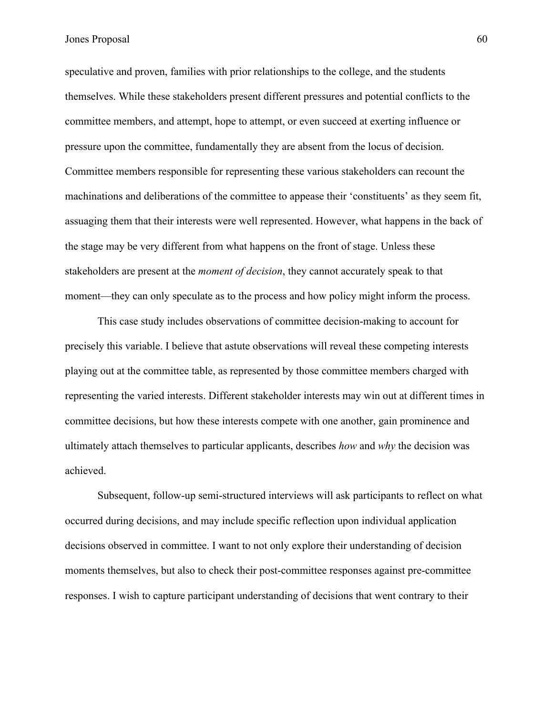speculative and proven, families with prior relationships to the college, and the students themselves. While these stakeholders present different pressures and potential conflicts to the committee members, and attempt, hope to attempt, or even succeed at exerting influence or pressure upon the committee, fundamentally they are absent from the locus of decision. Committee members responsible for representing these various stakeholders can recount the machinations and deliberations of the committee to appease their 'constituents' as they seem fit, assuaging them that their interests were well represented. However, what happens in the back of the stage may be very different from what happens on the front of stage. Unless these stakeholders are present at the *moment of decision*, they cannot accurately speak to that moment—they can only speculate as to the process and how policy might inform the process.

This case study includes observations of committee decision-making to account for precisely this variable. I believe that astute observations will reveal these competing interests playing out at the committee table, as represented by those committee members charged with representing the varied interests. Different stakeholder interests may win out at different times in committee decisions, but how these interests compete with one another, gain prominence and ultimately attach themselves to particular applicants, describes *how* and *why* the decision was achieved.

Subsequent, follow-up semi-structured interviews will ask participants to reflect on what occurred during decisions, and may include specific reflection upon individual application decisions observed in committee. I want to not only explore their understanding of decision moments themselves, but also to check their post-committee responses against pre-committee responses. I wish to capture participant understanding of decisions that went contrary to their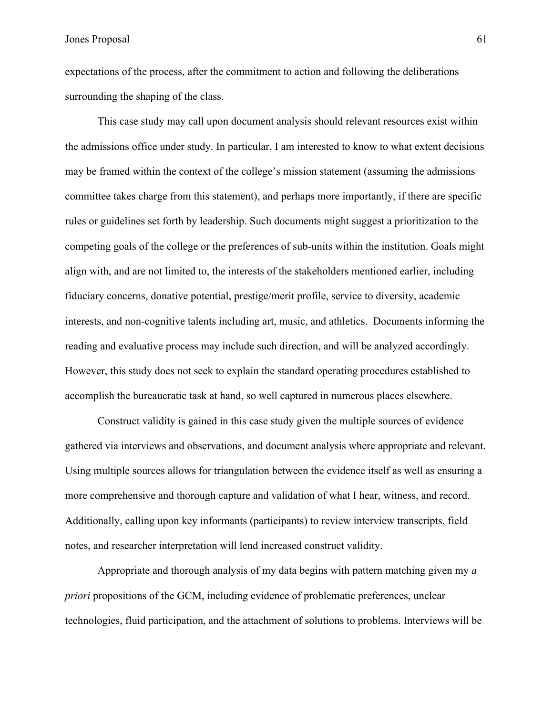expectations of the process, after the commitment to action and following the deliberations surrounding the shaping of the class.

This case study may call upon document analysis should relevant resources exist within the admissions office under study. In particular, I am interested to know to what extent decisions may be framed within the context of the college's mission statement (assuming the admissions committee takes charge from this statement), and perhaps more importantly, if there are specific rules or guidelines set forth by leadership. Such documents might suggest a prioritization to the competing goals of the college or the preferences of sub-units within the institution. Goals might align with, and are not limited to, the interests of the stakeholders mentioned earlier, including fiduciary concerns, donative potential, prestige/merit profile, service to diversity, academic interests, and non-cognitive talents including art, music, and athletics. Documents informing the reading and evaluative process may include such direction, and will be analyzed accordingly. However, this study does not seek to explain the standard operating procedures established to accomplish the bureaucratic task at hand, so well captured in numerous places elsewhere.

Construct validity is gained in this case study given the multiple sources of evidence gathered via interviews and observations, and document analysis where appropriate and relevant. Using multiple sources allows for triangulation between the evidence itself as well as ensuring a more comprehensive and thorough capture and validation of what I hear, witness, and record. Additionally, calling upon key informants (participants) to review interview transcripts, field notes, and researcher interpretation will lend increased construct validity.

Appropriate and thorough analysis of my data begins with pattern matching given my *a priori* propositions of the GCM, including evidence of problematic preferences, unclear technologies, fluid participation, and the attachment of solutions to problems. Interviews will be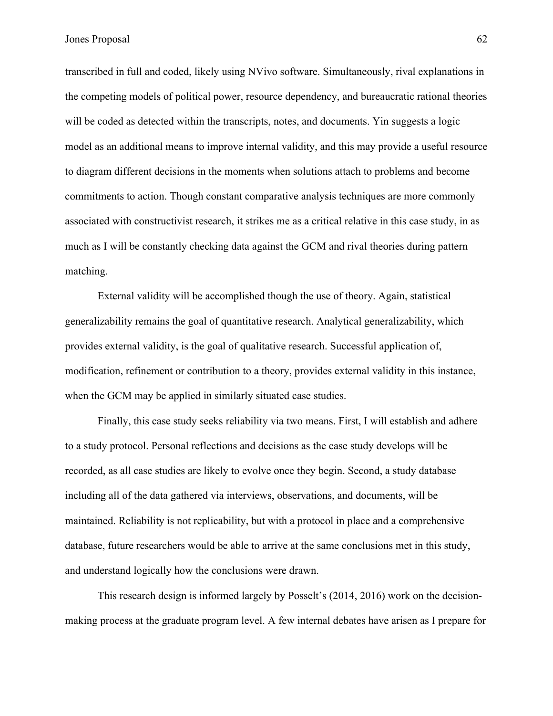transcribed in full and coded, likely using NVivo software. Simultaneously, rival explanations in the competing models of political power, resource dependency, and bureaucratic rational theories will be coded as detected within the transcripts, notes, and documents. Yin suggests a logic model as an additional means to improve internal validity, and this may provide a useful resource to diagram different decisions in the moments when solutions attach to problems and become commitments to action. Though constant comparative analysis techniques are more commonly associated with constructivist research, it strikes me as a critical relative in this case study, in as much as I will be constantly checking data against the GCM and rival theories during pattern matching.

External validity will be accomplished though the use of theory. Again, statistical generalizability remains the goal of quantitative research. Analytical generalizability, which provides external validity, is the goal of qualitative research. Successful application of, modification, refinement or contribution to a theory, provides external validity in this instance, when the GCM may be applied in similarly situated case studies.

Finally, this case study seeks reliability via two means. First, I will establish and adhere to a study protocol. Personal reflections and decisions as the case study develops will be recorded, as all case studies are likely to evolve once they begin. Second, a study database including all of the data gathered via interviews, observations, and documents, will be maintained. Reliability is not replicability, but with a protocol in place and a comprehensive database, future researchers would be able to arrive at the same conclusions met in this study, and understand logically how the conclusions were drawn.

This research design is informed largely by Posselt's (2014, 2016) work on the decisionmaking process at the graduate program level. A few internal debates have arisen as I prepare for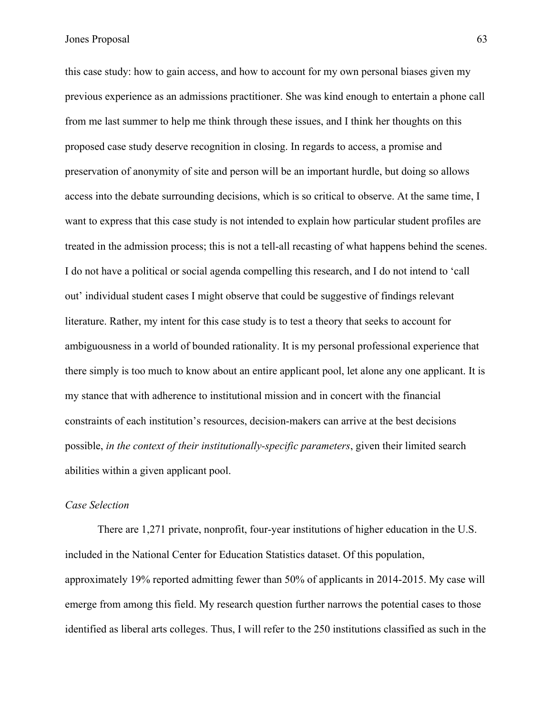this case study: how to gain access, and how to account for my own personal biases given my previous experience as an admissions practitioner. She was kind enough to entertain a phone call from me last summer to help me think through these issues, and I think her thoughts on this proposed case study deserve recognition in closing. In regards to access, a promise and preservation of anonymity of site and person will be an important hurdle, but doing so allows access into the debate surrounding decisions, which is so critical to observe. At the same time, I want to express that this case study is not intended to explain how particular student profiles are treated in the admission process; this is not a tell-all recasting of what happens behind the scenes. I do not have a political or social agenda compelling this research, and I do not intend to 'call out' individual student cases I might observe that could be suggestive of findings relevant literature. Rather, my intent for this case study is to test a theory that seeks to account for ambiguousness in a world of bounded rationality. It is my personal professional experience that there simply is too much to know about an entire applicant pool, let alone any one applicant. It is my stance that with adherence to institutional mission and in concert with the financial constraints of each institution's resources, decision-makers can arrive at the best decisions possible, *in the context of their institutionally-specific parameters*, given their limited search abilities within a given applicant pool.

# *Case Selection*

There are 1,271 private, nonprofit, four-year institutions of higher education in the U.S. included in the National Center for Education Statistics dataset. Of this population, approximately 19% reported admitting fewer than 50% of applicants in 2014-2015. My case will emerge from among this field. My research question further narrows the potential cases to those identified as liberal arts colleges. Thus, I will refer to the 250 institutions classified as such in the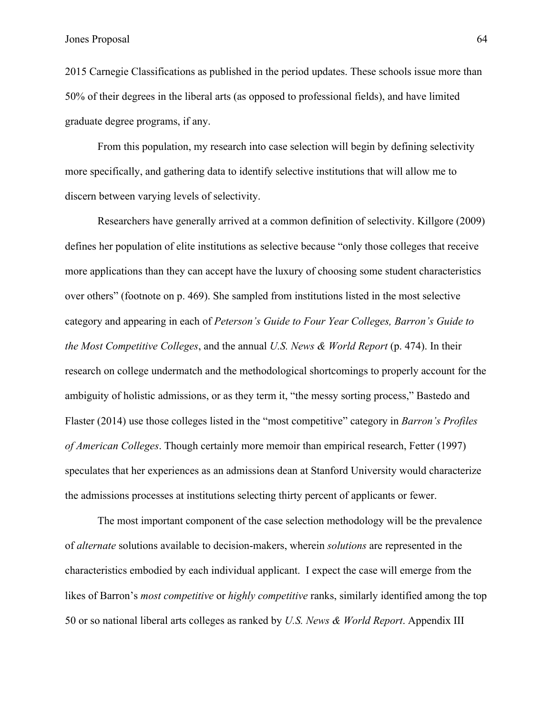2015 Carnegie Classifications as published in the period updates. These schools issue more than 50% of their degrees in the liberal arts (as opposed to professional fields), and have limited graduate degree programs, if any.

From this population, my research into case selection will begin by defining selectivity more specifically, and gathering data to identify selective institutions that will allow me to discern between varying levels of selectivity.

Researchers have generally arrived at a common definition of selectivity. Killgore (2009) defines her population of elite institutions as selective because "only those colleges that receive more applications than they can accept have the luxury of choosing some student characteristics over others" (footnote on p. 469). She sampled from institutions listed in the most selective category and appearing in each of *Peterson's Guide to Four Year Colleges, Barron's Guide to the Most Competitive Colleges*, and the annual *U.S. News & World Report* (p. 474). In their research on college undermatch and the methodological shortcomings to properly account for the ambiguity of holistic admissions, or as they term it, "the messy sorting process," Bastedo and Flaster (2014) use those colleges listed in the "most competitive" category in *Barron's Profiles of American Colleges*. Though certainly more memoir than empirical research, Fetter (1997) speculates that her experiences as an admissions dean at Stanford University would characterize the admissions processes at institutions selecting thirty percent of applicants or fewer.

The most important component of the case selection methodology will be the prevalence of *alternate* solutions available to decision-makers, wherein *solutions* are represented in the characteristics embodied by each individual applicant. I expect the case will emerge from the likes of Barron's *most competitive* or *highly competitive* ranks, similarly identified among the top 50 or so national liberal arts colleges as ranked by *U.S. News & World Report*. Appendix III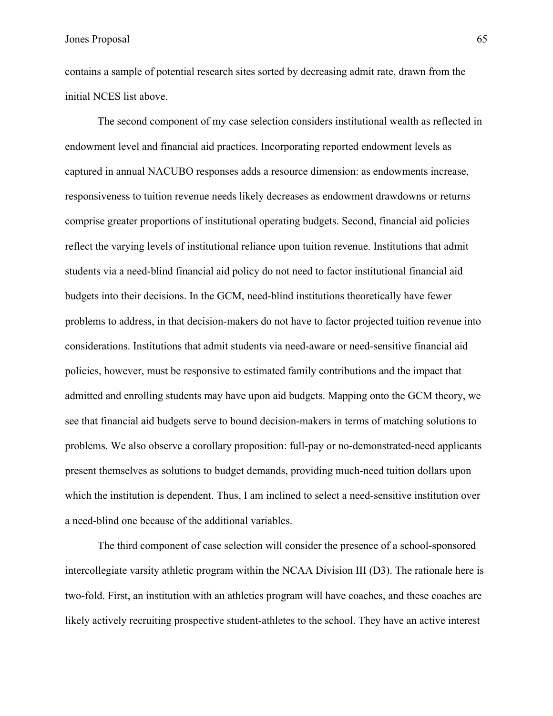contains a sample of potential research sites sorted by decreasing admit rate, drawn from the initial NCES list above.

The second component of my case selection considers institutional wealth as reflected in endowment level and financial aid practices. Incorporating reported endowment levels as captured in annual NACUBO responses adds a resource dimension: as endowments increase, responsiveness to tuition revenue needs likely decreases as endowment drawdowns or returns comprise greater proportions of institutional operating budgets. Second, financial aid policies reflect the varying levels of institutional reliance upon tuition revenue. Institutions that admit students via a need-blind financial aid policy do not need to factor institutional financial aid budgets into their decisions. In the GCM, need-blind institutions theoretically have fewer problems to address, in that decision-makers do not have to factor projected tuition revenue into considerations. Institutions that admit students via need-aware or need-sensitive financial aid policies, however, must be responsive to estimated family contributions and the impact that admitted and enrolling students may have upon aid budgets. Mapping onto the GCM theory, we see that financial aid budgets serve to bound decision-makers in terms of matching solutions to problems. We also observe a corollary proposition: full-pay or no-demonstrated-need applicants present themselves as solutions to budget demands, providing much-need tuition dollars upon which the institution is dependent. Thus, I am inclined to select a need-sensitive institution over a need-blind one because of the additional variables.

The third component of case selection will consider the presence of a school-sponsored intercollegiate varsity athletic program within the NCAA Division III (D3). The rationale here is two-fold. First, an institution with an athletics program will have coaches, and these coaches are likely actively recruiting prospective student-athletes to the school. They have an active interest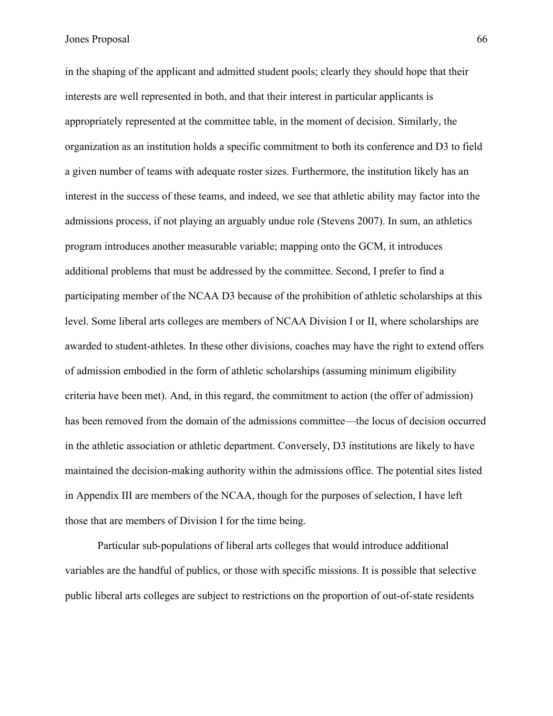in the shaping of the applicant and admitted student pools; clearly they should hope that their interests are well represented in both, and that their interest in particular applicants is appropriately represented at the committee table, in the moment of decision. Similarly, the organization as an institution holds a specific commitment to both its conference and D3 to field a given number of teams with adequate roster sizes. Furthermore, the institution likely has an interest in the success of these teams, and indeed, we see that athletic ability may factor into the admissions process, if not playing an arguably undue role (Stevens 2007). In sum, an athletics program introduces another measurable variable; mapping onto the GCM, it introduces additional problems that must be addressed by the committee. Second, I prefer to find a participating member of the NCAA D3 because of the prohibition of athletic scholarships at this level. Some liberal arts colleges are members of NCAA Division I or II, where scholarships are awarded to student-athletes. In these other divisions, coaches may have the right to extend offers of admission embodied in the form of athletic scholarships (assuming minimum eligibility criteria have been met). And, in this regard, the commitment to action (the offer of admission) has been removed from the domain of the admissions committee—the locus of decision occurred in the athletic association or athletic department. Conversely, D3 institutions are likely to have maintained the decision-making authority within the admissions office. The potential sites listed in Appendix III are members of the NCAA, though for the purposes of selection, I have left those that are members of Division I for the time being.

Particular sub-populations of liberal arts colleges that would introduce additional variables are the handful of publics, or those with specific missions. It is possible that selective public liberal arts colleges are subject to restrictions on the proportion of out-of-state residents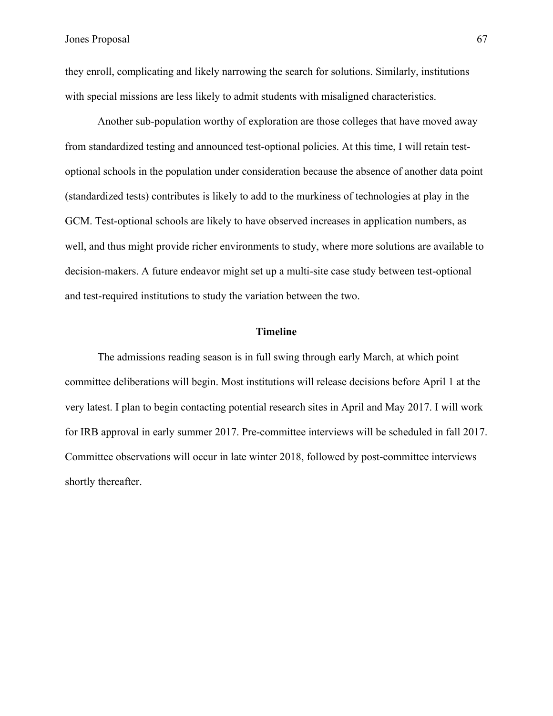they enroll, complicating and likely narrowing the search for solutions. Similarly, institutions with special missions are less likely to admit students with misaligned characteristics.

Another sub-population worthy of exploration are those colleges that have moved away from standardized testing and announced test-optional policies. At this time, I will retain testoptional schools in the population under consideration because the absence of another data point (standardized tests) contributes is likely to add to the murkiness of technologies at play in the GCM. Test-optional schools are likely to have observed increases in application numbers, as well, and thus might provide richer environments to study, where more solutions are available to decision-makers. A future endeavor might set up a multi-site case study between test-optional and test-required institutions to study the variation between the two.

#### **Timeline**

The admissions reading season is in full swing through early March, at which point committee deliberations will begin. Most institutions will release decisions before April 1 at the very latest. I plan to begin contacting potential research sites in April and May 2017. I will work for IRB approval in early summer 2017. Pre-committee interviews will be scheduled in fall 2017. Committee observations will occur in late winter 2018, followed by post-committee interviews shortly thereafter.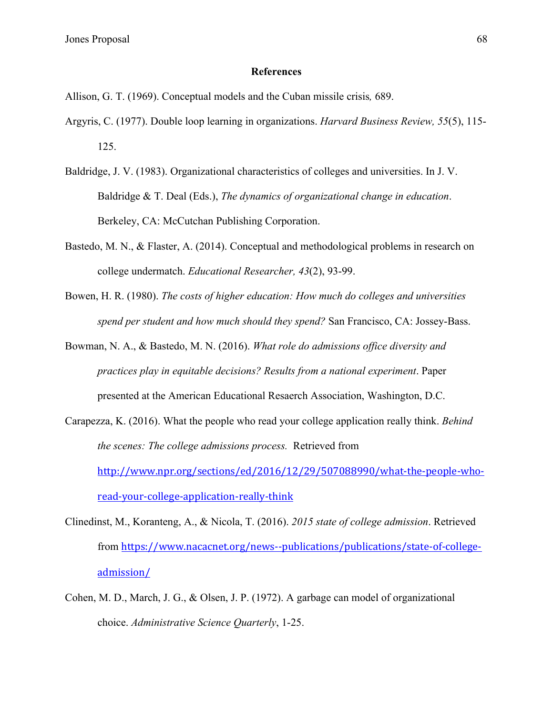#### **References**

Allison, G. T. (1969). Conceptual models and the Cuban missile crisis*,* 689.

- Argyris, C. (1977). Double loop learning in organizations. *Harvard Business Review, 55*(5), 115- 125.
- Baldridge, J. V. (1983). Organizational characteristics of colleges and universities. In J. V. Baldridge & T. Deal (Eds.), *The dynamics of organizational change in education*. Berkeley, CA: McCutchan Publishing Corporation.
- Bastedo, M. N., & Flaster, A. (2014). Conceptual and methodological problems in research on college undermatch. *Educational Researcher, 43*(2), 93-99.
- Bowen, H. R. (1980). *The costs of higher education: How much do colleges and universities spend per student and how much should they spend?* San Francisco, CA: Jossey-Bass.
- Bowman, N. A., & Bastedo, M. N. (2016). *What role do admissions office diversity and practices play in equitable decisions? Results from a national experiment*. Paper presented at the American Educational Resaerch Association, Washington, D.C.
- Carapezza, K. (2016). What the people who read your college application really think. *Behind the scenes: The college admissions process.* Retrieved from http://www.npr.org/sections/ed/2016/12/29/507088990/what-the-people-whoread-your-college-application-really-think
- Clinedinst, M., Koranteng, A., & Nicola, T. (2016). *2015 state of college admission*. Retrieved from https://www.nacacnet.org/news--publications/publications/state-of-collegeadmission/
- Cohen, M. D., March, J. G., & Olsen, J. P. (1972). A garbage can model of organizational choice. *Administrative Science Quarterly*, 1-25.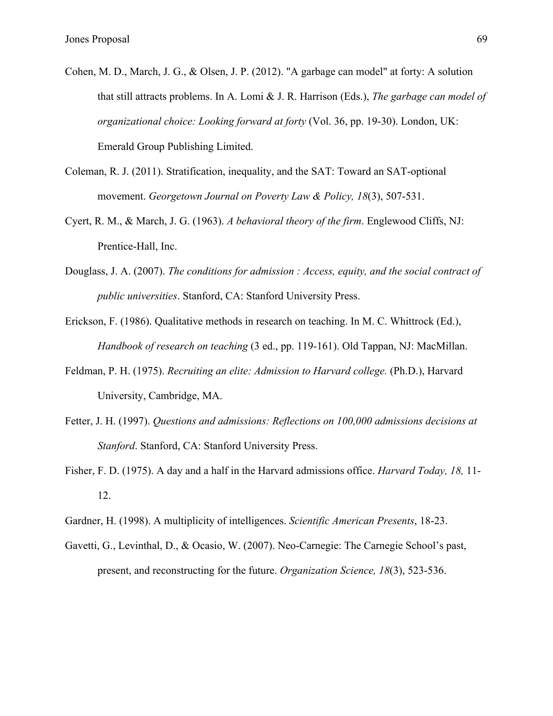- Cohen, M. D., March, J. G., & Olsen, J. P. (2012). "A garbage can model" at forty: A solution that still attracts problems. In A. Lomi & J. R. Harrison (Eds.), *The garbage can model of organizational choice: Looking forward at forty* (Vol. 36, pp. 19-30). London, UK: Emerald Group Publishing Limited.
- Coleman, R. J. (2011). Stratification, inequality, and the SAT: Toward an SAT-optional movement. *Georgetown Journal on Poverty Law & Policy, 18*(3), 507-531.
- Cyert, R. M., & March, J. G. (1963). *A behavioral theory of the firm*. Englewood Cliffs, NJ: Prentice-Hall, Inc.
- Douglass, J. A. (2007). *The conditions for admission : Access, equity, and the social contract of public universities*. Stanford, CA: Stanford University Press.
- Erickson, F. (1986). Qualitative methods in research on teaching. In M. C. Whittrock (Ed.), *Handbook of research on teaching* (3 ed., pp. 119-161). Old Tappan, NJ: MacMillan.
- Feldman, P. H. (1975). *Recruiting an elite: Admission to Harvard college.* (Ph.D.), Harvard University, Cambridge, MA.
- Fetter, J. H. (1997). *Questions and admissions: Reflections on 100,000 admissions decisions at Stanford*. Stanford, CA: Stanford University Press.
- Fisher, F. D. (1975). A day and a half in the Harvard admissions office. *Harvard Today, 18,* 11- 12.
- Gardner, H. (1998). A multiplicity of intelligences. *Scientific American Presents*, 18-23.
- Gavetti, G., Levinthal, D., & Ocasio, W. (2007). Neo-Carnegie: The Carnegie School's past, present, and reconstructing for the future. *Organization Science, 18*(3), 523-536.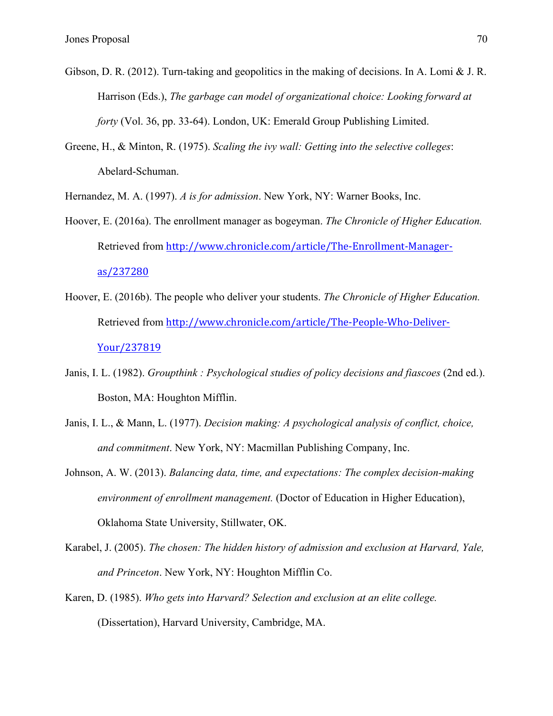- Gibson, D. R. (2012). Turn-taking and geopolitics in the making of decisions. In A. Lomi & J. R. Harrison (Eds.), *The garbage can model of organizational choice: Looking forward at forty* (Vol. 36, pp. 33-64). London, UK: Emerald Group Publishing Limited.
- Greene, H., & Minton, R. (1975). *Scaling the ivy wall: Getting into the selective colleges*: Abelard-Schuman.

Hernandez, M. A. (1997). *A is for admission*. New York, NY: Warner Books, Inc.

- Hoover, E. (2016a). The enrollment manager as bogeyman. *The Chronicle of Higher Education.* Retrieved from http://www.chronicle.com/article/The-Enrollment-Manageras/237280
- Hoover, E. (2016b). The people who deliver your students. *The Chronicle of Higher Education.* Retrieved from http://www.chronicle.com/article/The-People-Who-Deliver-Your/237819
- Janis, I. L. (1982). *Groupthink : Psychological studies of policy decisions and fiascoes* (2nd ed.). Boston, MA: Houghton Mifflin.
- Janis, I. L., & Mann, L. (1977). *Decision making: A psychological analysis of conflict, choice, and commitment*. New York, NY: Macmillan Publishing Company, Inc.
- Johnson, A. W. (2013). *Balancing data, time, and expectations: The complex decision-making environment of enrollment management.* (Doctor of Education in Higher Education), Oklahoma State University, Stillwater, OK.
- Karabel, J. (2005). *The chosen: The hidden history of admission and exclusion at Harvard, Yale, and Princeton*. New York, NY: Houghton Mifflin Co.
- Karen, D. (1985). *Who gets into Harvard? Selection and exclusion at an elite college.* (Dissertation), Harvard University, Cambridge, MA.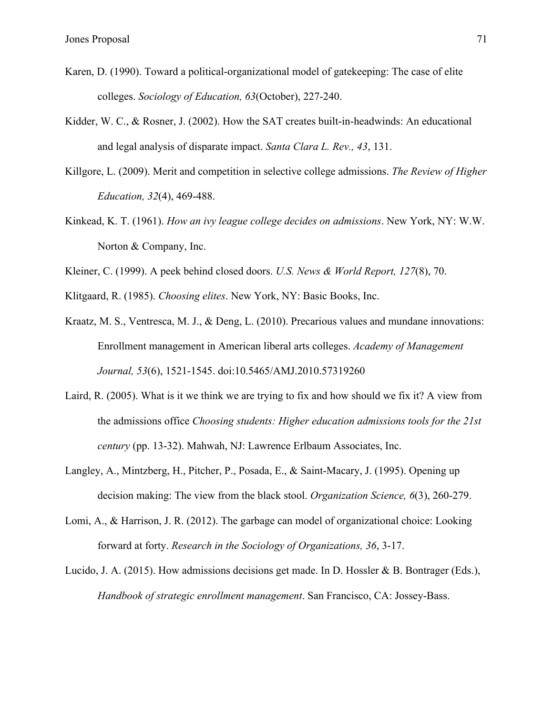- Karen, D. (1990). Toward a political-organizational model of gatekeeping: The case of elite colleges. *Sociology of Education, 63*(October), 227-240.
- Kidder, W. C., & Rosner, J. (2002). How the SAT creates built-in-headwinds: An educational and legal analysis of disparate impact. *Santa Clara L. Rev., 43*, 131.
- Killgore, L. (2009). Merit and competition in selective college admissions. *The Review of Higher Education, 32*(4), 469-488.
- Kinkead, K. T. (1961). *How an ivy league college decides on admissions*. New York, NY: W.W. Norton & Company, Inc.
- Kleiner, C. (1999). A peek behind closed doors. *U.S. News & World Report, 127*(8), 70.

Klitgaard, R. (1985). *Choosing elites*. New York, NY: Basic Books, Inc.

Kraatz, M. S., Ventresca, M. J., & Deng, L. (2010). Precarious values and mundane innovations: Enrollment management in American liberal arts colleges. *Academy of Management Journal, 53*(6), 1521-1545. doi:10.5465/AMJ.2010.57319260

- Laird, R. (2005). What is it we think we are trying to fix and how should we fix it? A view from the admissions office *Choosing students: Higher education admissions tools for the 21st century* (pp. 13-32). Mahwah, NJ: Lawrence Erlbaum Associates, Inc.
- Langley, A., Mintzberg, H., Pitcher, P., Posada, E., & Saint-Macary, J. (1995). Opening up decision making: The view from the black stool. *Organization Science, 6*(3), 260-279.
- Lomi, A., & Harrison, J. R. (2012). The garbage can model of organizational choice: Looking forward at forty. *Research in the Sociology of Organizations, 36*, 3-17.
- Lucido, J. A. (2015). How admissions decisions get made. In D. Hossler & B. Bontrager (Eds.), *Handbook of strategic enrollment management*. San Francisco, CA: Jossey-Bass.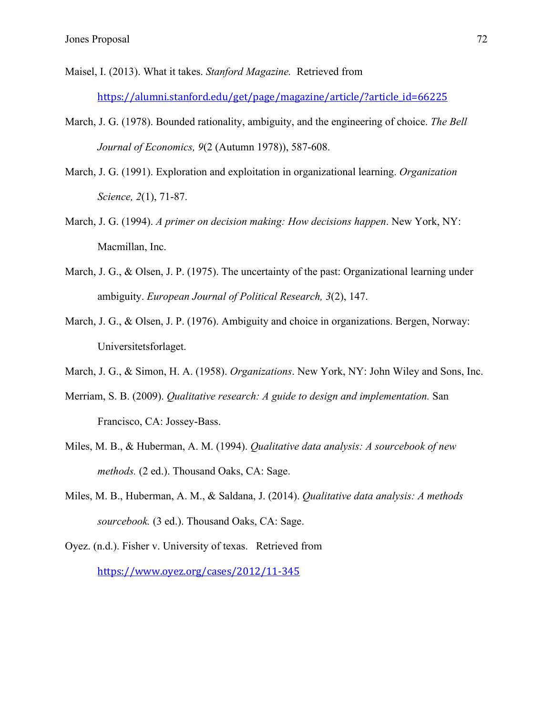- Maisel, I. (2013). What it takes. *Stanford Magazine.* Retrieved from https://alumni.stanford.edu/get/page/magazine/article/?article\_id=66225
- March, J. G. (1978). Bounded rationality, ambiguity, and the engineering of choice. *The Bell Journal of Economics, 9*(2 (Autumn 1978)), 587-608.
- March, J. G. (1991). Exploration and exploitation in organizational learning. *Organization Science, 2*(1), 71-87.
- March, J. G. (1994). *A primer on decision making: How decisions happen*. New York, NY: Macmillan, Inc.
- March, J. G., & Olsen, J. P. (1975). The uncertainty of the past: Organizational learning under ambiguity. *European Journal of Political Research, 3*(2), 147.
- March, J. G., & Olsen, J. P. (1976). Ambiguity and choice in organizations. Bergen, Norway: Universitetsforlaget.
- March, J. G., & Simon, H. A. (1958). *Organizations*. New York, NY: John Wiley and Sons, Inc.
- Merriam, S. B. (2009). *Qualitative research: A guide to design and implementation.* San Francisco, CA: Jossey-Bass.
- Miles, M. B., & Huberman, A. M. (1994). *Qualitative data analysis: A sourcebook of new methods.* (2 ed.). Thousand Oaks, CA: Sage.
- Miles, M. B., Huberman, A. M., & Saldana, J. (2014). *Qualitative data analysis: A methods sourcebook.* (3 ed.). Thousand Oaks, CA: Sage.
- Oyez. (n.d.). Fisher v. University of texas. Retrieved from https://www.oyez.org/cases/2012/11-345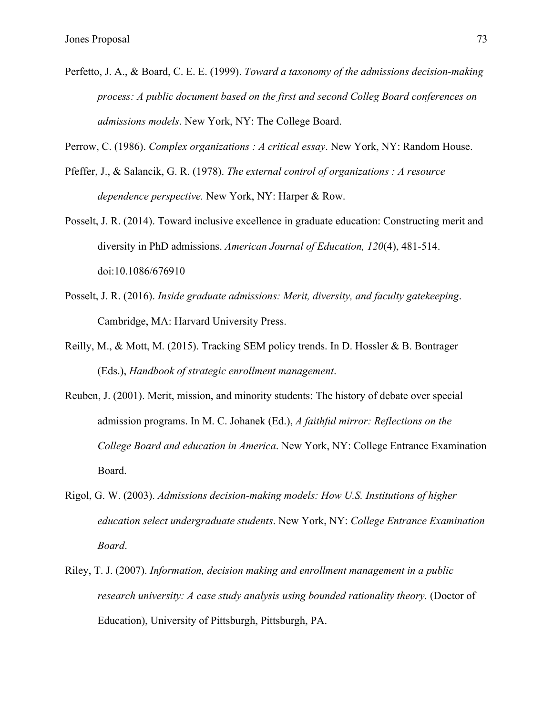Perfetto, J. A., & Board, C. E. E. (1999). *Toward a taxonomy of the admissions decision-making process: A public document based on the first and second Colleg Board conferences on admissions models*. New York, NY: The College Board.

Perrow, C. (1986). *Complex organizations : A critical essay*. New York, NY: Random House.

- Pfeffer, J., & Salancik, G. R. (1978). *The external control of organizations : A resource dependence perspective.* New York, NY: Harper & Row.
- Posselt, J. R. (2014). Toward inclusive excellence in graduate education: Constructing merit and diversity in PhD admissions. *American Journal of Education, 120*(4), 481-514. doi:10.1086/676910
- Posselt, J. R. (2016). *Inside graduate admissions: Merit, diversity, and faculty gatekeeping*. Cambridge, MA: Harvard University Press.
- Reilly, M., & Mott, M. (2015). Tracking SEM policy trends. In D. Hossler & B. Bontrager (Eds.), *Handbook of strategic enrollment management*.
- Reuben, J. (2001). Merit, mission, and minority students: The history of debate over special admission programs. In M. C. Johanek (Ed.), *A faithful mirror: Reflections on the College Board and education in America*. New York, NY: College Entrance Examination Board.
- Rigol, G. W. (2003). *Admissions decision-making models: How U.S. Institutions of higher education select undergraduate students*. New York, NY: *College Entrance Examination Board*.
- Riley, T. J. (2007). *Information, decision making and enrollment management in a public research university: A case study analysis using bounded rationality theory.* (Doctor of Education), University of Pittsburgh, Pittsburgh, PA.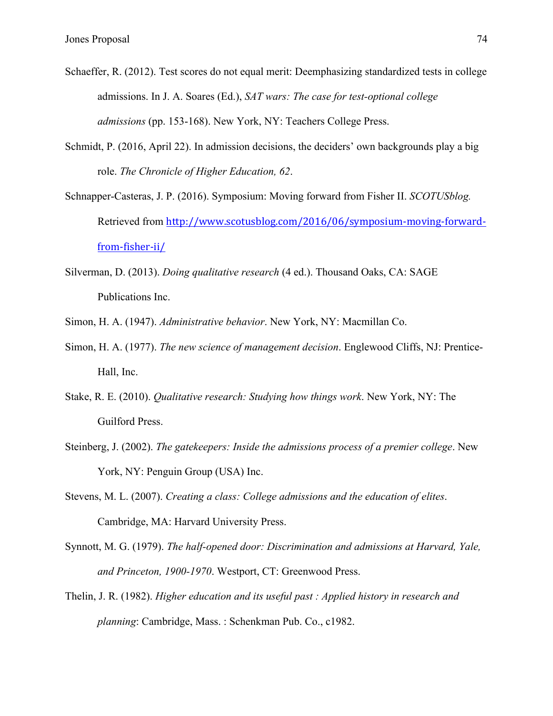- Schaeffer, R. (2012). Test scores do not equal merit: Deemphasizing standardized tests in college admissions. In J. A. Soares (Ed.), *SAT wars: The case for test-optional college admissions* (pp. 153-168). New York, NY: Teachers College Press.
- Schmidt, P. (2016, April 22). In admission decisions, the deciders' own backgrounds play a big role. *The Chronicle of Higher Education, 62*.
- Schnapper-Casteras, J. P. (2016). Symposium: Moving forward from Fisher II. *SCOTUSblog.* Retrieved from http://www.scotusblog.com/2016/06/symposium-moving-forwardfrom-fisher-ii/
- Silverman, D. (2013). *Doing qualitative research* (4 ed.). Thousand Oaks, CA: SAGE Publications Inc.
- Simon, H. A. (1947). *Administrative behavior*. New York, NY: Macmillan Co.
- Simon, H. A. (1977). *The new science of management decision*. Englewood Cliffs, NJ: Prentice-Hall, Inc.
- Stake, R. E. (2010). *Qualitative research: Studying how things work*. New York, NY: The Guilford Press.
- Steinberg, J. (2002). *The gatekeepers: Inside the admissions process of a premier college*. New York, NY: Penguin Group (USA) Inc.
- Stevens, M. L. (2007). *Creating a class: College admissions and the education of elites*. Cambridge, MA: Harvard University Press.
- Synnott, M. G. (1979). *The half-opened door: Discrimination and admissions at Harvard, Yale, and Princeton, 1900-1970*. Westport, CT: Greenwood Press.
- Thelin, J. R. (1982). *Higher education and its useful past : Applied history in research and planning*: Cambridge, Mass. : Schenkman Pub. Co., c1982.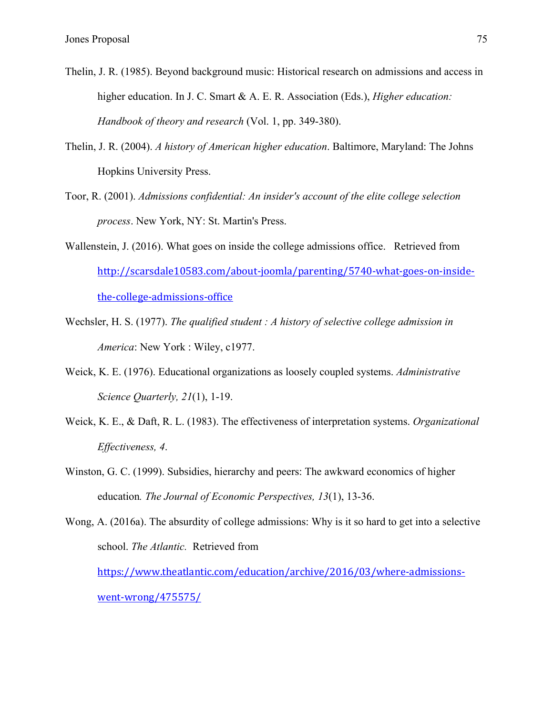- Thelin, J. R. (1985). Beyond background music: Historical research on admissions and access in higher education. In J. C. Smart & A. E. R. Association (Eds.), *Higher education: Handbook of theory and research* (Vol. 1, pp. 349-380).
- Thelin, J. R. (2004). *A history of American higher education*. Baltimore, Maryland: The Johns Hopkins University Press.
- Toor, R. (2001). *Admissions confidential: An insider's account of the elite college selection process*. New York, NY: St. Martin's Press.
- Wallenstein, J. (2016). What goes on inside the college admissions office. Retrieved from http://scarsdale10583.com/about-joomla/parenting/5740-what-goes-on-insidethe-college-admissions-office
- Wechsler, H. S. (1977). *The qualified student : A history of selective college admission in America*: New York : Wiley, c1977.
- Weick, K. E. (1976). Educational organizations as loosely coupled systems. *Administrative Science Quarterly, 21*(1), 1-19.
- Weick, K. E., & Daft, R. L. (1983). The effectiveness of interpretation systems. *Organizational Effectiveness, 4*.
- Winston, G. C. (1999). Subsidies, hierarchy and peers: The awkward economics of higher education*. The Journal of Economic Perspectives, 13*(1), 13-36.
- Wong, A. (2016a). The absurdity of college admissions: Why is it so hard to get into a selective school. *The Atlantic.* Retrieved from https://www.theatlantic.com/education/archive/2016/03/where-admissions-

went-wrong/475575/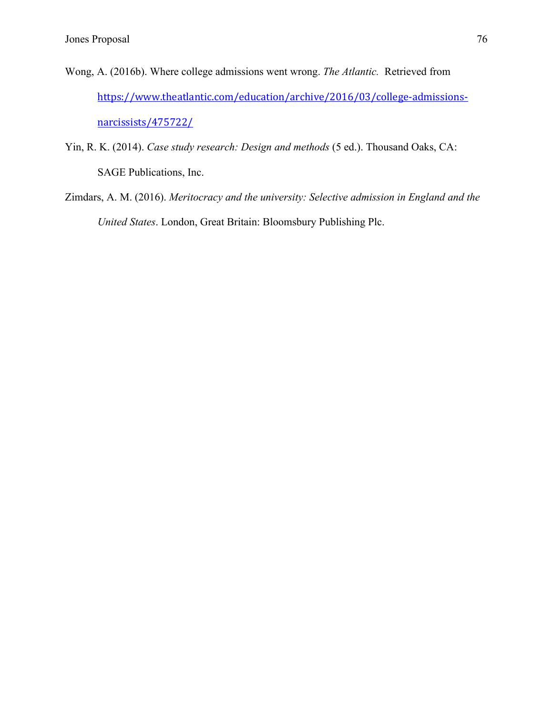- Wong, A. (2016b). Where college admissions went wrong. *The Atlantic.* Retrieved from https://www.theatlantic.com/education/archive/2016/03/college-admissionsnarcissists/475722/
- Yin, R. K. (2014). *Case study research: Design and methods* (5 ed.). Thousand Oaks, CA: SAGE Publications, Inc.
- Zimdars, A. M. (2016). *Meritocracy and the university: Selective admission in England and the United States*. London, Great Britain: Bloomsbury Publishing Plc.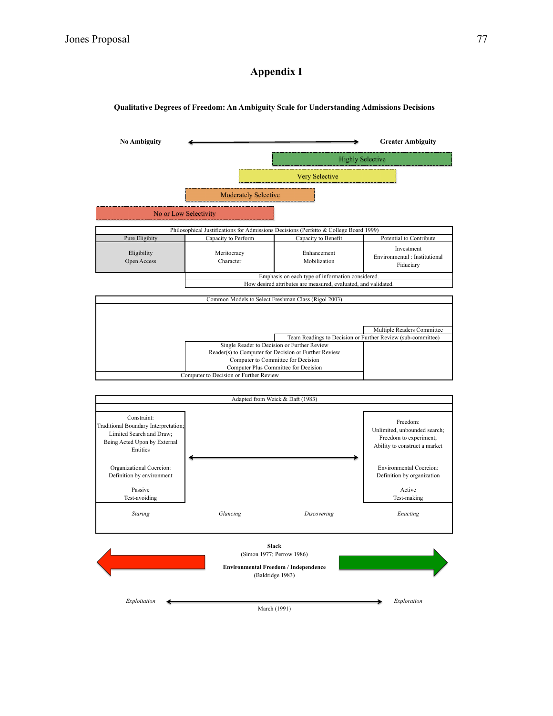## **Appendix I**

## **Qualitative Degrees of Freedom: An Ambiguity Scale for Understanding Admissions Decisions**



March (1991)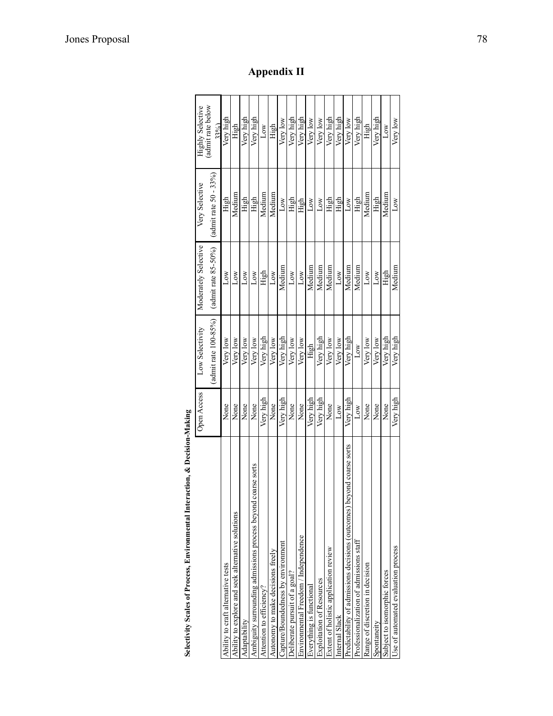|                                                                       | Open Access | Low Selectivity         | Moderately Selective    | Very Selective            | <b>Highly Selective</b> |  |
|-----------------------------------------------------------------------|-------------|-------------------------|-------------------------|---------------------------|-------------------------|--|
|                                                                       |             | admit rate $100 - 85\%$ | (admit rate $85-50\%$ ) | (admit rate $50 - 33\%$ ) | admit rate below<br>33% |  |
| Ability to craft alternative tests                                    | None        | Very low                | Low                     | High                      | Very high               |  |
| Ability to explore and seek alternative solutions                     | None        | Very low                | Low                     | Medium                    | High                    |  |
| Adaptability                                                          | None        | Very low                | $_{\text{Low}}$         | High                      | Very high               |  |
| coarse sorts<br>Ambiguity surrounding admissions process beyond       | None        | Very low                | Low                     | High                      | Very high               |  |
| Attention to efficiency?                                              | Very high   | Very high               | High                    | Medium                    | Low                     |  |
| Autonomy to make decisions freely                                     | None        | Very low                | Low                     | Medium                    | High                    |  |
| Capture/Boundedness by environment                                    | Very high   | Very high               | Medium                  | Low                       | Very low                |  |
| Oeliberate pursuit of a goal?                                         | None        | Very low                | $_{\text{Low}}$         | High                      | Very high               |  |
| Environmental Freedom / Independence                                  | None        | Very low                | Low                     | High                      | Very high               |  |
| Everything is functional                                              | Very high   | High                    | Medium                  | $_{\text{row}}$           | Very low                |  |
| <b>Exploitation of Resources</b>                                      | Very high   | Very high               | Medium                  | <b>NOT</b>                | Very low                |  |
| Extent of holistic application review                                 | None        | Very low                | Medium                  | High                      | Very high               |  |
| Internal Slack                                                        | Low         | Very low                | Low                     | High                      | Very high               |  |
| Predictability of admissions decisions (outcomes) beyond coarse sorts | Very high   | Very high               | Medium                  | Low                       | Very low                |  |
| Professionalization of admissions staff                               | Low         | Low                     | Medium                  | High                      | Very high               |  |
| Range of discretion in decision                                       | None        | Very low                | Low                     | Medium                    | High                    |  |
| Spontaneity                                                           | None        | Very low                | Low                     | High                      | Very high               |  |
| Subject to isomorphic forces                                          | None        | Very high               | High                    | Medium                    | Low                     |  |
| Use of automated evaluation process                                   | Very high   | Very high               | Medium                  | Low                       | Very low                |  |

**Appendix II**

| ħ                                                                 |
|-------------------------------------------------------------------|
|                                                                   |
| ţ<br>֖֖ׅ֪ׅ֧֧֚֚֚֚֚֚֚֚֚֚֚֚֚֚֚֚֚֚֚֚֚֚֚֚֚֬֡֡֡֡֡֡֡֬֡֡֡֬֓֞֡֡֡֬֓֞֬֞֩֓֡֬֞ |
|                                                                   |
|                                                                   |
|                                                                   |
|                                                                   |
|                                                                   |
| l                                                                 |
| l                                                                 |